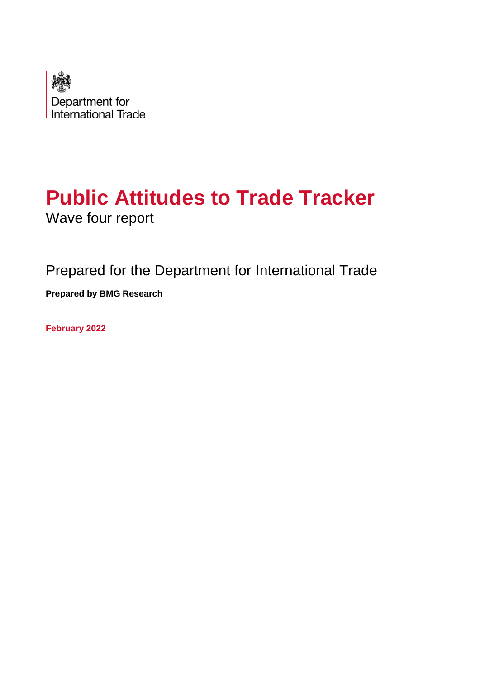

# **Public Attitudes to Trade Tracker** Wave four report

Prepared for the Department for International Trade **Prepared by BMG Research**

**February 2022**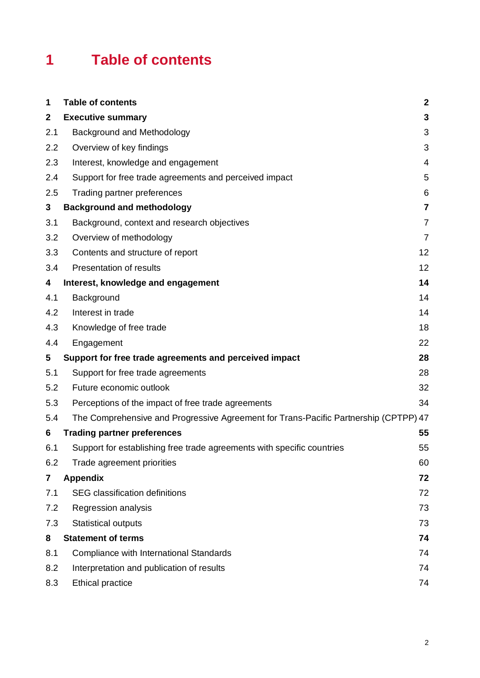# **1 Table of contents**

| 1                       | <b>Table of contents</b>                                                             | $\boldsymbol{2}$ |
|-------------------------|--------------------------------------------------------------------------------------|------------------|
| $\mathbf 2$             | <b>Executive summary</b>                                                             | 3                |
| 2.1                     | Background and Methodology                                                           | 3                |
| 2.2                     | Overview of key findings                                                             | 3                |
| 2.3                     | Interest, knowledge and engagement                                                   | $\overline{4}$   |
| 2.4                     | Support for free trade agreements and perceived impact                               | 5                |
| 2.5                     | Trading partner preferences                                                          | 6                |
| 3                       | <b>Background and methodology</b>                                                    | $\overline{7}$   |
| 3.1                     | Background, context and research objectives                                          | $\overline{7}$   |
| 3.2                     | Overview of methodology                                                              | $\overline{7}$   |
| 3.3                     | Contents and structure of report                                                     | 12               |
| 3.4                     | Presentation of results                                                              | 12               |
| 4                       | Interest, knowledge and engagement                                                   | 14               |
| 4.1                     | Background                                                                           | 14               |
| 4.2                     | Interest in trade                                                                    | 14               |
| 4.3                     | Knowledge of free trade                                                              | 18               |
| 4.4                     | Engagement                                                                           | 22               |
| 5                       | Support for free trade agreements and perceived impact                               | 28               |
| 5.1                     | Support for free trade agreements                                                    | 28               |
| 5.2                     | Future economic outlook                                                              | 32               |
| 5.3                     | Perceptions of the impact of free trade agreements                                   | 34               |
| 5.4                     | The Comprehensive and Progressive Agreement for Trans-Pacific Partnership (CPTPP) 47 |                  |
| 6                       | <b>Trading partner preferences</b>                                                   | 55               |
| 6.1                     | Support for establishing free trade agreements with specific countries               | 55               |
| 6.2                     | Trade agreement priorities                                                           | 60               |
| $\overline{\mathbf{r}}$ | <b>Appendix</b>                                                                      | 72               |
| 7.1                     | SEG classification definitions                                                       | 72               |
| 7.2                     | Regression analysis                                                                  | 73               |
| 7.3                     | <b>Statistical outputs</b>                                                           | 73               |
| 8                       | <b>Statement of terms</b>                                                            | 74               |
| 8.1                     | Compliance with International Standards                                              | 74               |
| 8.2                     | Interpretation and publication of results                                            | 74               |
| 8.3                     | <b>Ethical practice</b>                                                              | 74               |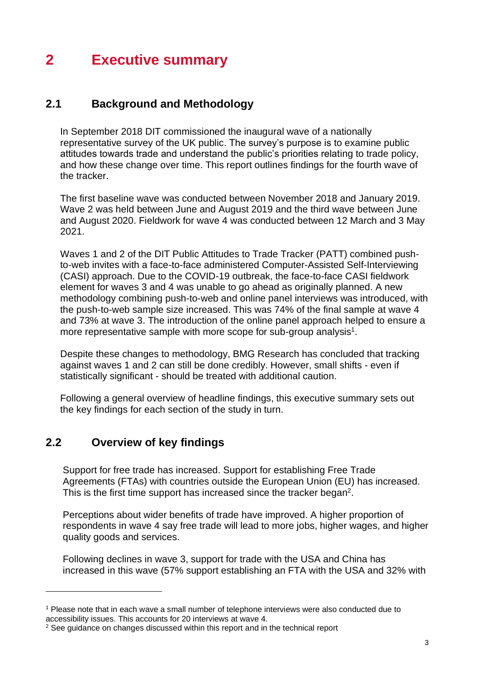# **2 Executive summary**

## **2.1 Background and Methodology**

In September 2018 DIT commissioned the inaugural wave of a nationally representative survey of the UK public. The survey's purpose is to examine public attitudes towards trade and understand the public's priorities relating to trade policy, and how these change over time. This report outlines findings for the fourth wave of the tracker.

The first baseline wave was conducted between November 2018 and January 2019. Wave 2 was held between June and August 2019 and the third wave between June and August 2020. Fieldwork for wave 4 was conducted between 12 March and 3 May 2021.

Waves 1 and 2 of the DIT Public Attitudes to Trade Tracker (PATT) combined pushto-web invites with a face-to-face administered Computer-Assisted Self-Interviewing (CASI) approach. Due to the COVID-19 outbreak, the face-to-face CASI fieldwork element for waves 3 and 4 was unable to go ahead as originally planned. A new methodology combining push-to-web and online panel interviews was introduced, with the push-to-web sample size increased. This was 74% of the final sample at wave 4 and 73% at wave 3. The introduction of the online panel approach helped to ensure a more representative sample with more scope for sub-group analysis<sup>1</sup>.

Despite these changes to methodology, BMG Research has concluded that tracking against waves 1 and 2 can still be done credibly. However, small shifts - even if statistically significant - should be treated with additional caution.

Following a general overview of headline findings, this executive summary sets out the key findings for each section of the study in turn.

### **2.2 Overview of key findings**

Support for free trade has increased. Support for establishing Free Trade Agreements (FTAs) with countries outside the European Union (EU) has increased. This is the first time support has increased since the tracker began<sup>2</sup>.

Perceptions about wider benefits of trade have improved. A higher proportion of respondents in wave 4 say free trade will lead to more jobs, higher wages, and higher quality goods and services.

Following declines in wave 3, support for trade with the USA and China has increased in this wave (57% support establishing an FTA with the USA and 32% with

<sup>&</sup>lt;sup>1</sup> Please note that in each wave a small number of telephone interviews were also conducted due to accessibility issues. This accounts for 20 interviews at wave 4.

<sup>&</sup>lt;sup>2</sup> See guidance on changes discussed within this report and in the technical report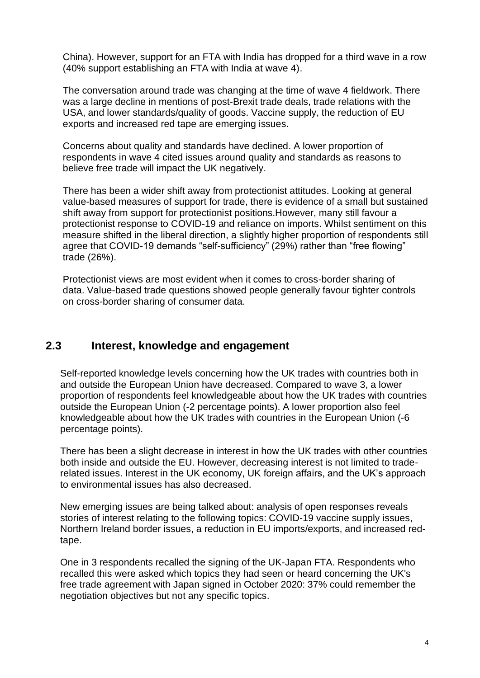China). However, support for an FTA with India has dropped for a third wave in a row (40% support establishing an FTA with India at wave 4).

The conversation around trade was changing at the time of wave 4 fieldwork. There was a large decline in mentions of post-Brexit trade deals, trade relations with the USA, and lower standards/quality of goods. Vaccine supply, the reduction of EU exports and increased red tape are emerging issues.

Concerns about quality and standards have declined. A lower proportion of respondents in wave 4 cited issues around quality and standards as reasons to believe free trade will impact the UK negatively.

There has been a wider shift away from protectionist attitudes. Looking at general value-based measures of support for trade, there is evidence of a small but sustained shift away from support for protectionist positions.However, many still favour a protectionist response to COVID-19 and reliance on imports. Whilst sentiment on this measure shifted in the liberal direction, a slightly higher proportion of respondents still agree that COVID-19 demands "self-sufficiency" (29%) rather than "free flowing" trade (26%).

Protectionist views are most evident when it comes to cross-border sharing of data. Value-based trade questions showed people generally favour tighter controls on cross-border sharing of consumer data.

### **2.3 Interest, knowledge and engagement**

Self-reported knowledge levels concerning how the UK trades with countries both in and outside the European Union have decreased. Compared to wave 3, a lower proportion of respondents feel knowledgeable about how the UK trades with countries outside the European Union (-2 percentage points). A lower proportion also feel knowledgeable about how the UK trades with countries in the European Union (-6 percentage points).

There has been a slight decrease in interest in how the UK trades with other countries both inside and outside the EU. However, decreasing interest is not limited to traderelated issues. Interest in the UK economy, UK foreign affairs, and the UK's approach to environmental issues has also decreased.

New emerging issues are being talked about: analysis of open responses reveals stories of interest relating to the following topics: COVID-19 vaccine supply issues, Northern Ireland border issues, a reduction in EU imports/exports, and increased redtape.

One in 3 respondents recalled the signing of the UK-Japan FTA. Respondents who recalled this were asked which topics they had seen or heard concerning the UK's free trade agreement with Japan signed in October 2020: 37% could remember the negotiation objectives but not any specific topics.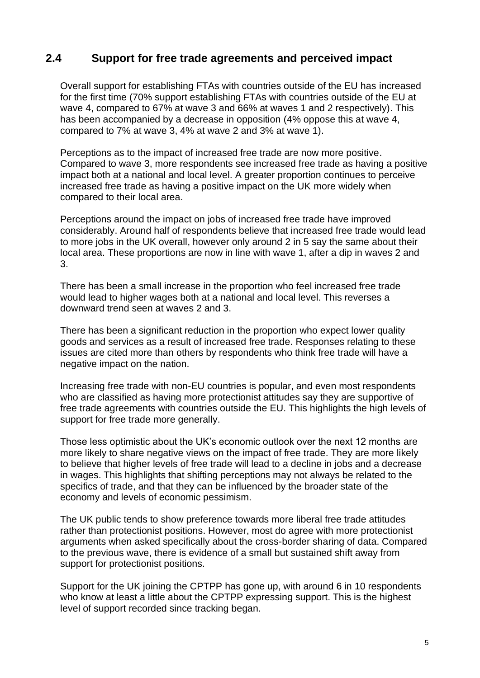### **2.4 Support for free trade agreements and perceived impact**

Overall support for establishing FTAs with countries outside of the EU has increased for the first time (70% support establishing FTAs with countries outside of the EU at wave 4, compared to 67% at wave 3 and 66% at waves 1 and 2 respectively). This has been accompanied by a decrease in opposition (4% oppose this at wave 4, compared to 7% at wave 3, 4% at wave 2 and 3% at wave 1).

Perceptions as to the impact of increased free trade are now more positive. Compared to wave 3, more respondents see increased free trade as having a positive impact both at a national and local level. A greater proportion continues to perceive increased free trade as having a positive impact on the UK more widely when compared to their local area.

Perceptions around the impact on jobs of increased free trade have improved considerably. Around half of respondents believe that increased free trade would lead to more jobs in the UK overall, however only around 2 in 5 say the same about their local area. These proportions are now in line with wave 1, after a dip in waves 2 and 3.

There has been a small increase in the proportion who feel increased free trade would lead to higher wages both at a national and local level. This reverses a downward trend seen at waves 2 and 3.

There has been a significant reduction in the proportion who expect lower quality goods and services as a result of increased free trade. Responses relating to these issues are cited more than others by respondents who think free trade will have a negative impact on the nation.

Increasing free trade with non-EU countries is popular, and even most respondents who are classified as having more protectionist attitudes say they are supportive of free trade agreements with countries outside the EU. This highlights the high levels of support for free trade more generally.

Those less optimistic about the UK's economic outlook over the next 12 months are more likely to share negative views on the impact of free trade. They are more likely to believe that higher levels of free trade will lead to a decline in jobs and a decrease in wages. This highlights that shifting perceptions may not always be related to the specifics of trade, and that they can be influenced by the broader state of the economy and levels of economic pessimism.

The UK public tends to show preference towards more liberal free trade attitudes rather than protectionist positions. However, most do agree with more protectionist arguments when asked specifically about the cross-border sharing of data. Compared to the previous wave, there is evidence of a small but sustained shift away from support for protectionist positions.

Support for the UK joining the CPTPP has gone up, with around 6 in 10 respondents who know at least a little about the CPTPP expressing support. This is the highest level of support recorded since tracking began.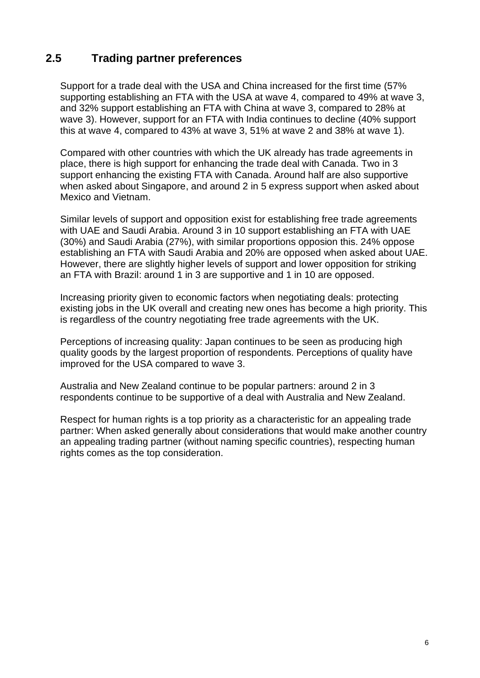## **2.5 Trading partner preferences**

Support for a trade deal with the USA and China increased for the first time (57% supporting establishing an FTA with the USA at wave 4, compared to 49% at wave 3, and 32% support establishing an FTA with China at wave 3, compared to 28% at wave 3). However, support for an FTA with India continues to decline (40% support this at wave 4, compared to 43% at wave 3, 51% at wave 2 and 38% at wave 1).

Compared with other countries with which the UK already has trade agreements in place, there is high support for enhancing the trade deal with Canada. Two in 3 support enhancing the existing FTA with Canada. Around half are also supportive when asked about Singapore, and around 2 in 5 express support when asked about Mexico and Vietnam.

Similar levels of support and opposition exist for establishing free trade agreements with UAE and Saudi Arabia. Around 3 in 10 support establishing an FTA with UAE (30%) and Saudi Arabia (27%), with similar proportions opposion this. 24% oppose establishing an FTA with Saudi Arabia and 20% are opposed when asked about UAE. However, there are slightly higher levels of support and lower opposition for striking an FTA with Brazil: around 1 in 3 are supportive and 1 in 10 are opposed.

Increasing priority given to economic factors when negotiating deals: protecting existing jobs in the UK overall and creating new ones has become a high priority. This is regardless of the country negotiating free trade agreements with the UK.

Perceptions of increasing quality: Japan continues to be seen as producing high quality goods by the largest proportion of respondents. Perceptions of quality have improved for the USA compared to wave 3.

Australia and New Zealand continue to be popular partners: around 2 in 3 respondents continue to be supportive of a deal with Australia and New Zealand.

Respect for human rights is a top priority as a characteristic for an appealing trade partner: When asked generally about considerations that would make another country an appealing trading partner (without naming specific countries), respecting human rights comes as the top consideration.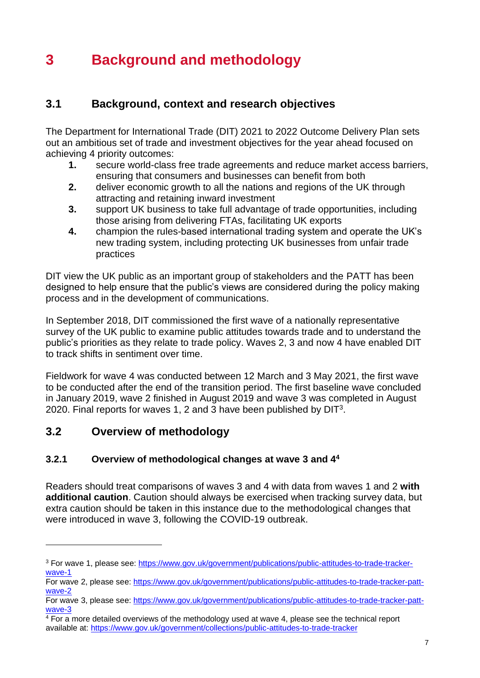# **3 Background and methodology**

## **3.1 Background, context and research objectives**

The Department for International Trade (DIT) 2021 to 2022 Outcome Delivery Plan sets out an ambitious set of trade and investment objectives for the year ahead focused on achieving 4 priority outcomes:

- **1.** secure world-class free trade agreements and reduce market access barriers, ensuring that consumers and businesses can benefit from both
- **2.** deliver economic growth to all the nations and regions of the UK through attracting and retaining inward investment
- **3.** support UK business to take full advantage of trade opportunities, including those arising from delivering FTAs, facilitating UK exports
- **4.** champion the rules-based international trading system and operate the UK's new trading system, including protecting UK businesses from unfair trade practices

DIT view the UK public as an important group of stakeholders and the PATT has been designed to help ensure that the public's views are considered during the policy making process and in the development of communications.

In September 2018, DIT commissioned the first wave of a nationally representative survey of the UK public to examine public attitudes towards trade and to understand the public's priorities as they relate to trade policy. Waves 2, 3 and now 4 have enabled DIT to track shifts in sentiment over time.

Fieldwork for wave 4 was conducted between 12 March and 3 May 2021, the first wave to be conducted after the end of the transition period. The first baseline wave concluded in January 2019, wave 2 finished in August 2019 and wave 3 was completed in August 2020. Final reports for waves 1, 2 and 3 have been published by  $DIT<sup>3</sup>$ .

### **3.2 Overview of methodology**

### **3.2.1 Overview of methodological changes at wave 3 and 4<sup>4</sup>**

Readers should treat comparisons of waves 3 and 4 with data from waves 1 and 2 **with additional caution**. Caution should always be exercised when tracking survey data, but extra caution should be taken in this instance due to the methodological changes that were introduced in wave 3, following the COVID-19 outbreak.

<sup>3</sup> For wave 1, please see: [https://www.gov.uk/government/publications/public-attitudes-to-trade-tracker](https://www.gov.uk/government/publications/public-attitudes-to-trade-tracker-wave-1)[wave-1](https://www.gov.uk/government/publications/public-attitudes-to-trade-tracker-wave-1)

For wave 2, please see: [https://www.gov.uk/government/publications/public-attitudes-to-trade-tracker-patt](https://www.gov.uk/government/publications/public-attitudes-to-trade-tracker-patt-wave-2)[wave-2](https://www.gov.uk/government/publications/public-attitudes-to-trade-tracker-patt-wave-2)

For wave 3, please see: [https://www.gov.uk/government/publications/public-attitudes-to-trade-tracker-patt](https://www.gov.uk/government/publications/public-attitudes-to-trade-tracker-patt-wave-3)[wave-3](https://www.gov.uk/government/publications/public-attitudes-to-trade-tracker-patt-wave-3)

 $4$  For a more detailed overviews of the methodology used at wave 4, please see the technical report available at: <https://www.gov.uk/government/collections/public-attitudes-to-trade-tracker>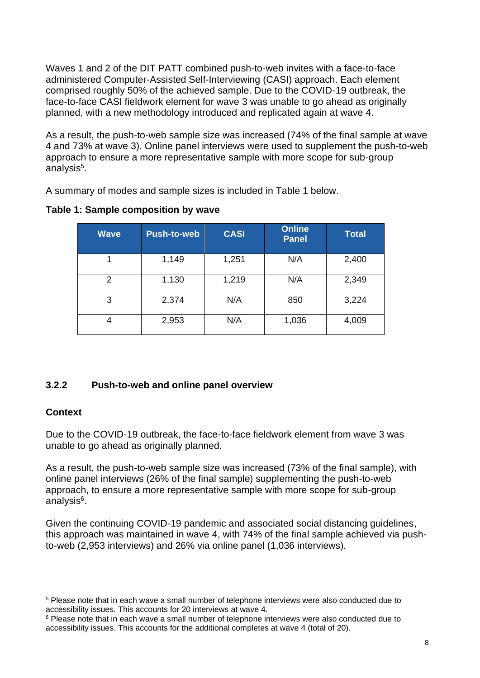Waves 1 and 2 of the DIT PATT combined push-to-web invites with a face-to-face administered Computer-Assisted Self-Interviewing (CASI) approach. Each element comprised roughly 50% of the achieved sample. Due to the COVID-19 outbreak, the face-to-face CASI fieldwork element for wave 3 was unable to go ahead as originally planned, with a new methodology introduced and replicated again at wave 4.

As a result, the push-to-web sample size was increased (74% of the final sample at wave 4 and 73% at wave 3). Online panel interviews were used to supplement the push-to-web approach to ensure a more representative sample with more scope for sub-group analysis<sup>5</sup>.

A summary of modes and sample sizes is included in Table 1 below.

| <b>Wave</b> | Push-to-web | <b>CASI</b> | <b>Online</b><br><b>Panel</b> | Total |
|-------------|-------------|-------------|-------------------------------|-------|
|             | 1,149       | 1,251       | N/A                           | 2,400 |
| 2           | 1,130       | 1,219       | N/A                           | 2,349 |
| 3           | 2,374       | N/A         | 850                           | 3,224 |
| 4           | 2,953       | N/A         | 1,036                         | 4,009 |

**Table 1: Sample composition by wave**

### **3.2.2 Push-to-web and online panel overview**

### **Context**

Due to the COVID-19 outbreak, the face-to-face fieldwork element from wave 3 was unable to go ahead as originally planned.

As a result, the push-to-web sample size was increased (73% of the final sample), with online panel interviews (26% of the final sample) supplementing the push-to-web approach, to ensure a more representative sample with more scope for sub-group analysis<sup>6</sup>.

Given the continuing COVID-19 pandemic and associated social distancing guidelines, this approach was maintained in wave 4, with 74% of the final sample achieved via pushto-web (2,953 interviews) and 26% via online panel (1,036 interviews).

<sup>5</sup> Please note that in each wave a small number of telephone interviews were also conducted due to accessibility issues. This accounts for 20 interviews at wave 4.

<sup>&</sup>lt;sup>6</sup> Please note that in each wave a small number of telephone interviews were also conducted due to accessibility issues. This accounts for the additional completes at wave 4 (total of 20).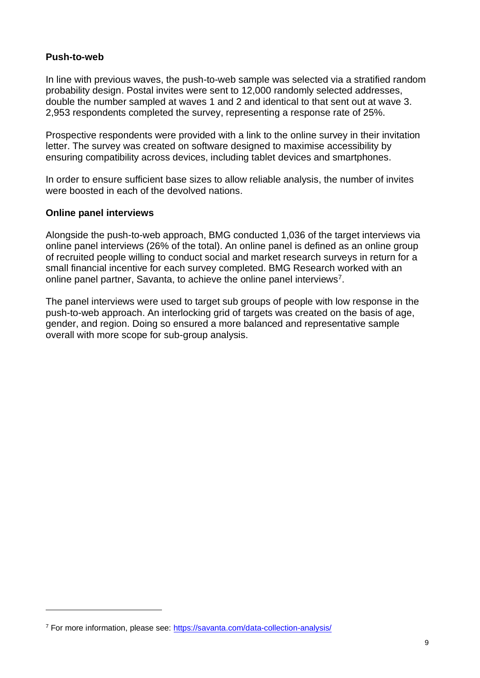#### **Push-to-web**

In line with previous waves, the push-to-web sample was selected via a stratified random probability design. Postal invites were sent to 12,000 randomly selected addresses, double the number sampled at waves 1 and 2 and identical to that sent out at wave 3. 2,953 respondents completed the survey, representing a response rate of 25%.

Prospective respondents were provided with a link to the online survey in their invitation letter. The survey was created on software designed to maximise accessibility by ensuring compatibility across devices, including tablet devices and smartphones.

In order to ensure sufficient base sizes to allow reliable analysis, the number of invites were boosted in each of the devolved nations.

#### **Online panel interviews**

Alongside the push-to-web approach, BMG conducted 1,036 of the target interviews via online panel interviews (26% of the total). An online panel is defined as an online group of recruited people willing to conduct social and market research surveys in return for a small financial incentive for each survey completed. BMG Research worked with an online panel partner, Savanta, to achieve the online panel interviews<sup>7</sup>.

The panel interviews were used to target sub groups of people with low response in the push-to-web approach. An interlocking grid of targets was created on the basis of age, gender, and region. Doing so ensured a more balanced and representative sample overall with more scope for sub-group analysis.

<sup>&</sup>lt;sup>7</sup> For more information, please see:<https://savanta.com/data-collection-analysis/>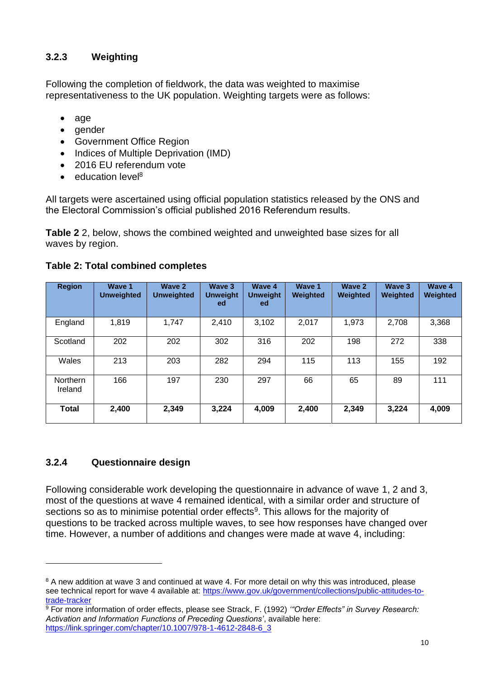### **3.2.3 Weighting**

Following the completion of fieldwork, the data was weighted to maximise representativeness to the UK population. Weighting targets were as follows:

- age
- gender
- Government Office Region
- Indices of Multiple Deprivation (IMD)
- 2016 FU referendum vote
- education level<sup>8</sup>

All targets were ascertained using official population statistics released by the ONS and the Electoral Commission's official published 2016 Referendum results.

<span id="page-9-0"></span>**[Table 2](#page-9-0)** 2, below, shows the combined weighted and unweighted base sizes for all waves by region.

| <b>Region</b>              | Wave 1<br><b>Unweighted</b> | Wave 2<br><b>Unweighted</b> | Wave 3<br><b>Unweight</b><br>ed | <b>Wave 4</b><br><b>Unweight</b><br>ed. | Wave 1<br><b>Weighted</b> | Wave 2<br>Weighted | Wave 3<br><b>Weighted</b> | <b>Wave 4</b><br>Weighted |
|----------------------------|-----------------------------|-----------------------------|---------------------------------|-----------------------------------------|---------------------------|--------------------|---------------------------|---------------------------|
| England                    | 1,819                       | 1,747                       | 2,410                           | 3,102                                   | 2,017                     | 1,973              | 2,708                     | 3,368                     |
| Scotland                   | 202                         | 202                         | 302                             | 316                                     | 202                       | 198                | 272                       | 338                       |
| Wales                      | 213                         | 203                         | 282                             | 294                                     | 115                       | 113                | 155                       | 192                       |
| <b>Northern</b><br>Ireland | 166                         | 197                         | 230                             | 297                                     | 66                        | 65                 | 89                        | 111                       |
| <b>Total</b>               | 2,400                       | 2,349                       | 3,224                           | 4,009                                   | 2,400                     | 2,349              | 3,224                     | 4,009                     |

### **Table 2: Total combined completes**

### **3.2.4 Questionnaire design**

Following considerable work developing the questionnaire in advance of wave 1, 2 and 3, most of the questions at wave 4 remained identical, with a similar order and structure of sections so as to minimise potential order effects<sup>9</sup>. This allows for the majority of questions to be tracked across multiple waves, to see how responses have changed over time. However, a number of additions and changes were made at wave 4, including:

<sup>&</sup>lt;sup>8</sup> A new addition at wave 3 and continued at wave 4. For more detail on why this was introduced, please see technical report for wave 4 available at: [https://www.gov.uk/government/collections/public-attitudes-to](https://www.gov.uk/government/collections/public-attitudes-to-trade-tracker)[trade-tracker](https://www.gov.uk/government/collections/public-attitudes-to-trade-tracker)

<sup>9</sup> For more information of order effects, please see Strack, F. (1992) *'"Order Effects" in Survey Research: Activation and Information Functions of Preceding Questions'*, available here: [https://link.springer.com/chapter/10.1007/978-1-4612-2848-6\\_3](https://link.springer.com/chapter/10.1007/978-1-4612-2848-6_3)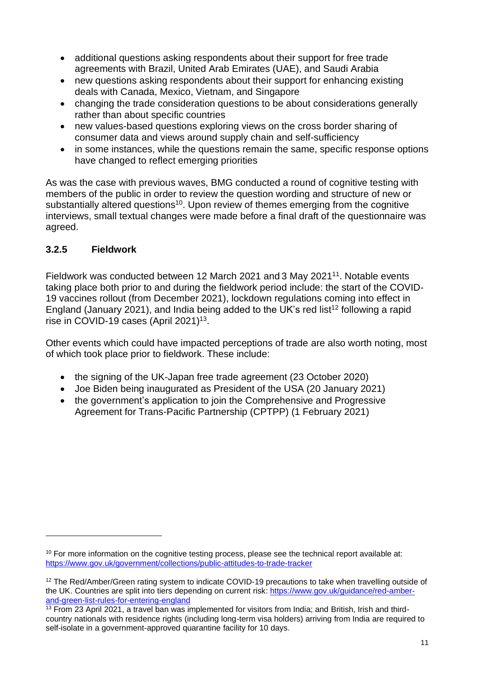- additional questions asking respondents about their support for free trade agreements with Brazil, United Arab Emirates (UAE), and Saudi Arabia
- new questions asking respondents about their support for enhancing existing deals with Canada, Mexico, Vietnam, and Singapore
- changing the trade consideration questions to be about considerations generally rather than about specific countries
- new values-based questions exploring views on the cross border sharing of consumer data and views around supply chain and self-sufficiency
- in some instances, while the questions remain the same, specific response options have changed to reflect emerging priorities

As was the case with previous waves, BMG conducted a round of cognitive testing with members of the public in order to review the question wording and structure of new or substantially altered questions<sup>10</sup>. Upon review of themes emerging from the cognitive interviews, small textual changes were made before a final draft of the questionnaire was agreed.

### **3.2.5 Fieldwork**

Fieldwork was conducted between 12 March 2021 and 3 May 2021<sup>11</sup>. Notable events taking place both prior to and during the fieldwork period include: the start of the COVID-19 vaccines rollout (from December 2021), lockdown regulations coming into effect in England (January 2021), and India being added to the UK's red list<sup>12</sup> following a rapid rise in COVID-19 cases (April 2021)<sup>13</sup>.

Other events which could have impacted perceptions of trade are also worth noting, most of which took place prior to fieldwork. These include:

- the signing of the UK-Japan free trade agreement (23 October 2020)
- Joe Biden being inaugurated as President of the USA (20 January 2021)
- the government's application to join the Comprehensive and Progressive Agreement for Trans-Pacific Partnership (CPTPP) (1 February 2021)

 $10$  For more information on the cognitive testing process, please see the technical report available at: <https://www.gov.uk/government/collections/public-attitudes-to-trade-tracker>

<sup>&</sup>lt;sup>12</sup> The Red/Amber/Green rating system to indicate COVID-19 precautions to take when travelling outside of the UK. Countries are split into tiers depending on current risk: [https://www.gov.uk/guidance/red-amber](https://www.gov.uk/guidance/red-amber-and-green-list-rules-for-entering-england)[and-green-list-rules-for-entering-england](https://www.gov.uk/guidance/red-amber-and-green-list-rules-for-entering-england) 

 $\frac{13}{13}$  From 23 April 2021, a travel ban was implemented for visitors from India; and British, Irish and thirdcountry nationals with residence rights (including long-term visa holders) arriving from India are required to self-isolate in a government-approved quarantine facility for 10 days.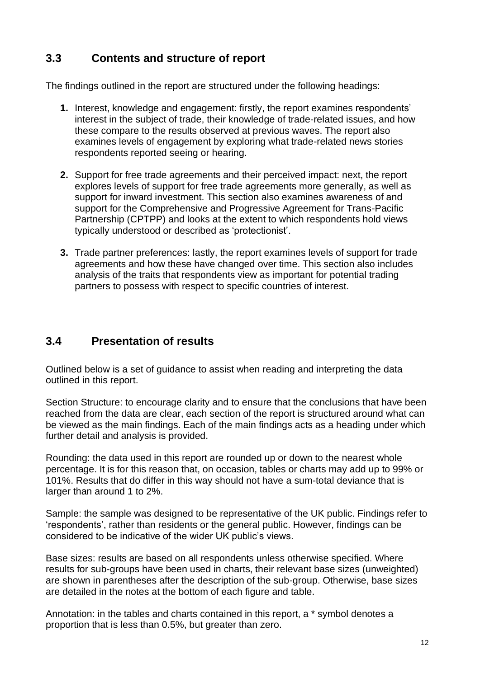# **3.3 Contents and structure of report**

The findings outlined in the report are structured under the following headings:

- **1.** Interest, knowledge and engagement: firstly, the report examines respondents' interest in the subject of trade, their knowledge of trade-related issues, and how these compare to the results observed at previous waves. The report also examines levels of engagement by exploring what trade-related news stories respondents reported seeing or hearing.
- **2.** Support for free trade agreements and their perceived impact: next, the report explores levels of support for free trade agreements more generally, as well as support for inward investment. This section also examines awareness of and support for the Comprehensive and Progressive Agreement for Trans-Pacific Partnership (CPTPP) and looks at the extent to which respondents hold views typically understood or described as 'protectionist'.
- **3.** Trade partner preferences: lastly, the report examines levels of support for trade agreements and how these have changed over time. This section also includes analysis of the traits that respondents view as important for potential trading partners to possess with respect to specific countries of interest.

# **3.4 Presentation of results**

Outlined below is a set of guidance to assist when reading and interpreting the data outlined in this report.

Section Structure: to encourage clarity and to ensure that the conclusions that have been reached from the data are clear, each section of the report is structured around what can be viewed as the main findings. Each of the main findings acts as a heading under which further detail and analysis is provided.

Rounding: the data used in this report are rounded up or down to the nearest whole percentage. It is for this reason that, on occasion, tables or charts may add up to 99% or 101%. Results that do differ in this way should not have a sum-total deviance that is larger than around 1 to 2%.

Sample: the sample was designed to be representative of the UK public. Findings refer to 'respondents', rather than residents or the general public. However, findings can be considered to be indicative of the wider UK public's views.

Base sizes: results are based on all respondents unless otherwise specified. Where results for sub-groups have been used in charts, their relevant base sizes (unweighted) are shown in parentheses after the description of the sub-group. Otherwise, base sizes are detailed in the notes at the bottom of each figure and table.

Annotation: in the tables and charts contained in this report, a \* symbol denotes a proportion that is less than 0.5%, but greater than zero.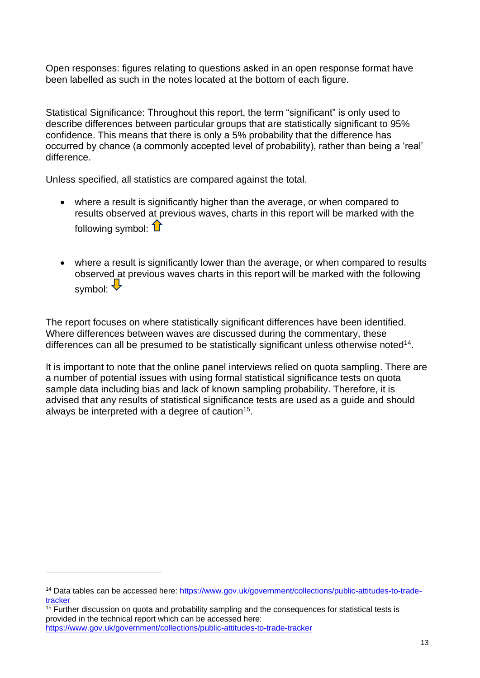Open responses: figures relating to questions asked in an open response format have been labelled as such in the notes located at the bottom of each figure.

Statistical Significance: Throughout this report, the term "significant" is only used to describe differences between particular groups that are statistically significant to 95% confidence. This means that there is only a 5% probability that the difference has occurred by chance (a commonly accepted level of probability), rather than being a 'real' difference.

Unless specified, all statistics are compared against the total.

- where a result is significantly higher than the average, or when compared to results observed at previous waves, charts in this report will be marked with the following symbol:  $\mathbf{\hat{L}}$
- where a result is significantly lower than the average, or when compared to results observed at previous waves charts in this report will be marked with the following symbol:  $\overline{\mathbf{v}}$

The report focuses on where statistically significant differences have been identified. Where differences between waves are discussed during the commentary, these differences can all be presumed to be statistically significant unless otherwise noted<sup>14</sup>.

It is important to note that the online panel interviews relied on quota sampling. There are a number of potential issues with using formal statistical significance tests on quota sample data including bias and lack of known sampling probability. Therefore, it is advised that any results of statistical significance tests are used as a guide and should always be interpreted with a degree of caution<sup>15</sup>.

<sup>14</sup> Data tables can be accessed here: [https://www.gov.uk/government/collections/public-attitudes-to-trade](https://www.gov.uk/government/collections/public-attitudes-to-trade-tracker)[tracker](https://www.gov.uk/government/collections/public-attitudes-to-trade-tracker)

 $\frac{15}{15}$  Further discussion on quota and probability sampling and the consequences for statistical tests is provided in the technical report which can be accessed here: <https://www.gov.uk/government/collections/public-attitudes-to-trade-tracker>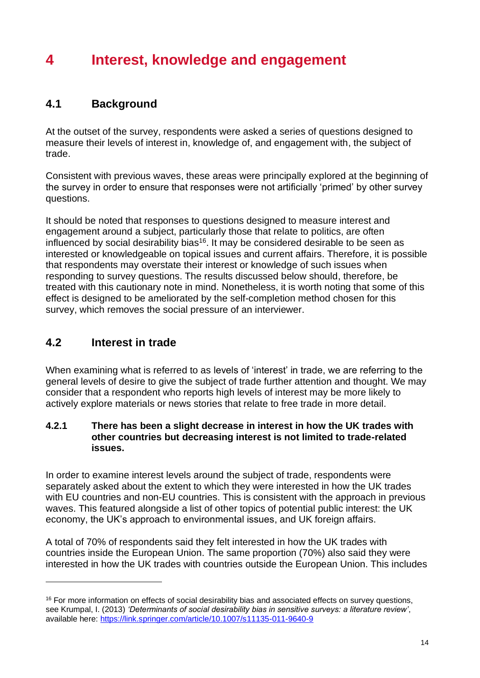# **4 Interest, knowledge and engagement**

## **4.1 Background**

At the outset of the survey, respondents were asked a series of questions designed to measure their levels of interest in, knowledge of, and engagement with, the subject of trade.

Consistent with previous waves, these areas were principally explored at the beginning of the survey in order to ensure that responses were not artificially 'primed' by other survey questions.

It should be noted that responses to questions designed to measure interest and engagement around a subject, particularly those that relate to politics, are often influenced by social desirability bias<sup>16</sup>. It may be considered desirable to be seen as interested or knowledgeable on topical issues and current affairs. Therefore, it is possible that respondents may overstate their interest or knowledge of such issues when responding to survey questions. The results discussed below should, therefore, be treated with this cautionary note in mind. Nonetheless, it is worth noting that some of this effect is designed to be ameliorated by the self-completion method chosen for this survey, which removes the social pressure of an interviewer.

# **4.2 Interest in trade**

When examining what is referred to as levels of 'interest' in trade, we are referring to the general levels of desire to give the subject of trade further attention and thought. We may consider that a respondent who reports high levels of interest may be more likely to actively explore materials or news stories that relate to free trade in more detail.

### **4.2.1 There has been a slight decrease in interest in how the UK trades with other countries but decreasing interest is not limited to trade-related issues.**

In order to examine interest levels around the subject of trade, respondents were separately asked about the extent to which they were interested in how the UK trades with EU countries and non-EU countries. This is consistent with the approach in previous waves. This featured alongside a list of other topics of potential public interest: the UK economy, the UK's approach to environmental issues, and UK foreign affairs.

A total of 70% of respondents said they felt interested in how the UK trades with countries inside the European Union. The same proportion (70%) also said they were interested in how the UK trades with countries outside the European Union. This includes

<sup>&</sup>lt;sup>16</sup> For more information on effects of social desirability bias and associated effects on survey questions, see Krumpal, I. (2013) *'Determinants of social desirability bias in sensitive surveys: a literature review'*, available here:<https://link.springer.com/article/10.1007/s11135-011-9640-9>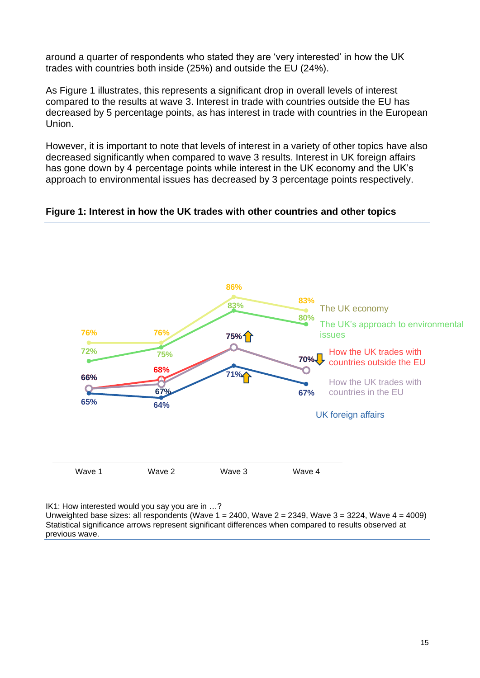around a quarter of respondents who stated they are 'very interested' in how the UK trades with countries both inside (25%) and outside the EU (24%).

As Figure 1 illustrates, this represents a significant drop in overall levels of interest compared to the results at wave 3. Interest in trade with countries outside the EU has decreased by 5 percentage points, as has interest in trade with countries in the European Union.

However, it is important to note that levels of interest in a variety of other topics have also decreased significantly when compared to wave 3 results. Interest in UK foreign affairs has gone down by 4 percentage points while interest in the UK economy and the UK's approach to environmental issues has decreased by 3 percentage points respectively.

**Figure 1: Interest in how the UK trades with other countries and other topics**



IK1: How interested would you say you are in …?

Unweighted base sizes: all respondents (Wave  $1 = 2400$ , Wave  $2 = 2349$ , Wave  $3 = 3224$ , Wave  $4 = 4009$ ) Statistical significance arrows represent significant differences when compared to results observed at previous wave.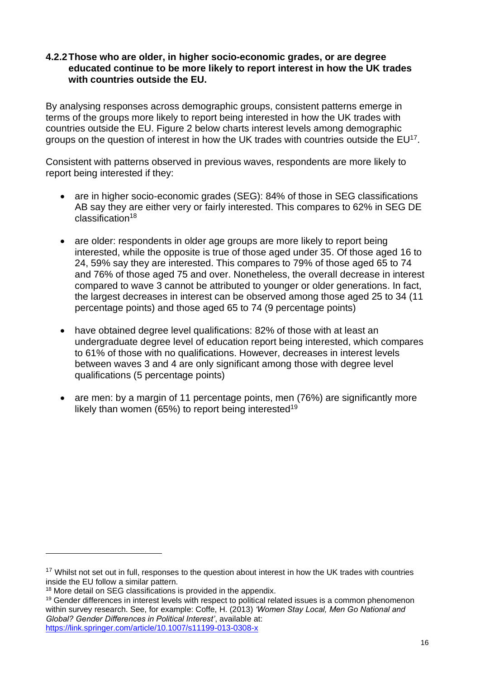### **4.2.2Those who are older, in higher socio-economic grades, or are degree educated continue to be more likely to report interest in how the UK trades with countries outside the EU.**

By analysing responses across demographic groups, consistent patterns emerge in terms of the groups more likely to report being interested in how the UK trades with countries outside the EU. Figure 2 below charts interest levels among demographic groups on the question of interest in how the UK trades with countries outside the EU<sup>17</sup>.

Consistent with patterns observed in previous waves, respondents are more likely to report being interested if they:

- are in higher socio-economic grades (SEG): 84% of those in SEG classifications AB say they are either very or fairly interested. This compares to 62% in SEG DE classification<sup>18</sup>
- are older: respondents in older age groups are more likely to report being interested, while the opposite is true of those aged under 35. Of those aged 16 to 24, 59% say they are interested. This compares to 79% of those aged 65 to 74 and 76% of those aged 75 and over. Nonetheless, the overall decrease in interest compared to wave 3 cannot be attributed to younger or older generations. In fact, the largest decreases in interest can be observed among those aged 25 to 34 (11 percentage points) and those aged 65 to 74 (9 percentage points)
- have obtained degree level qualifications: 82% of those with at least an undergraduate degree level of education report being interested, which compares to 61% of those with no qualifications. However, decreases in interest levels between waves 3 and 4 are only significant among those with degree level qualifications (5 percentage points)
- are men: by a margin of 11 percentage points, men (76%) are significantly more likely than women (65%) to report being interested<sup>19</sup>

<sup>&</sup>lt;sup>17</sup> Whilst not set out in full, responses to the question about interest in how the UK trades with countries inside the EU follow a similar pattern.

<sup>&</sup>lt;sup>18</sup> More detail on SEG classifications is provided in the appendix.

<sup>&</sup>lt;sup>19</sup> Gender differences in interest levels with respect to political related issues is a common phenomenon within survey research. See, for example: Coffe, H. (2013) *'Women Stay Local, Men Go National and Global? Gender Differences in Political Interest'*, available at: <https://link.springer.com/article/10.1007/s11199-013-0308-x>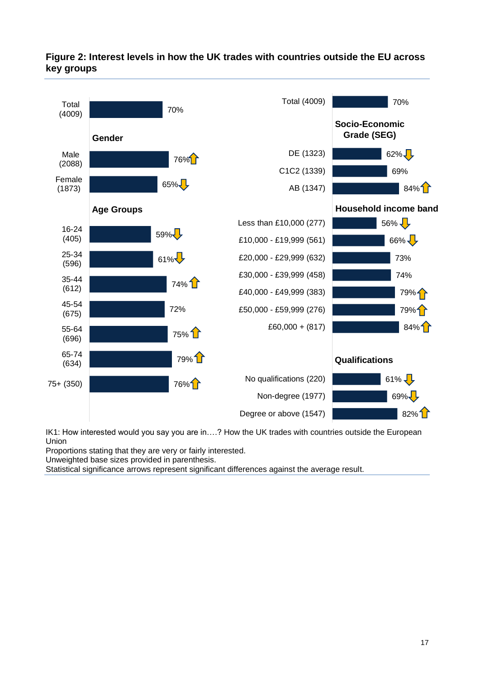### **Figure 2: Interest levels in how the UK trades with countries outside the EU across key groups**



IK1: How interested would you say you are in….? How the UK trades with countries outside the European Union

Proportions stating that they are very or fairly interested.

Unweighted base sizes provided in parenthesis.

Statistical significance arrows represent significant differences against the average result.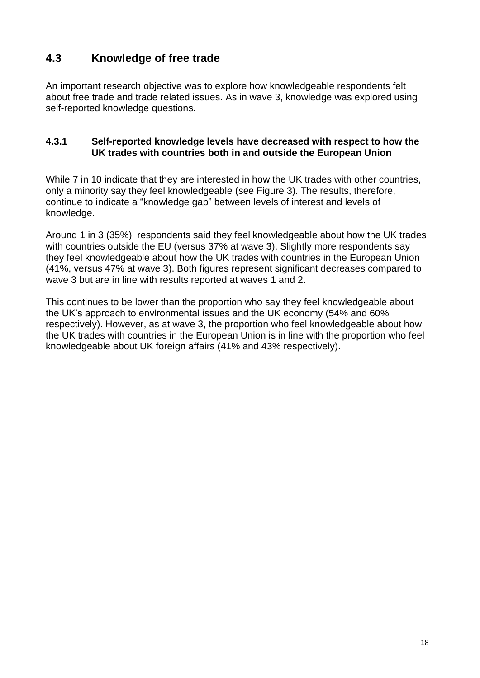# **4.3 Knowledge of free trade**

An important research objective was to explore how knowledgeable respondents felt about free trade and trade related issues. As in wave 3, knowledge was explored using self-reported knowledge questions.

### **4.3.1 Self-reported knowledge levels have decreased with respect to how the UK trades with countries both in and outside the European Union**

While 7 in 10 indicate that they are interested in how the UK trades with other countries, only a minority say they feel knowledgeable (see [Figure 3\)](#page-18-0). The results, therefore, continue to indicate a "knowledge gap" between levels of interest and levels of knowledge.

Around 1 in 3 (35%) respondents said they feel knowledgeable about how the UK trades with countries outside the EU (versus 37% at wave 3). Slightly more respondents say they feel knowledgeable about how the UK trades with countries in the European Union (41%, versus 47% at wave 3). Both figures represent significant decreases compared to wave 3 but are in line with results reported at waves 1 and 2.

This continues to be lower than the proportion who say they feel knowledgeable about the UK's approach to environmental issues and the UK economy (54% and 60% respectively). However, as at wave 3, the proportion who feel knowledgeable about how the UK trades with countries in the European Union is in line with the proportion who feel knowledgeable about UK foreign affairs (41% and 43% respectively).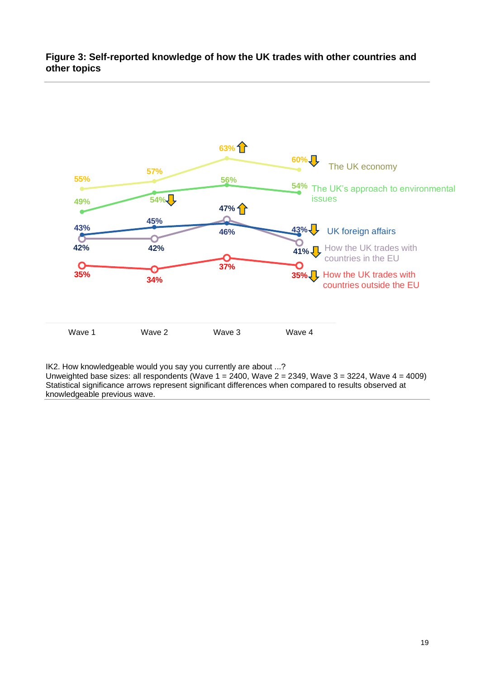#### <span id="page-18-0"></span>**Figure 3: Self-reported knowledge of how the UK trades with other countries and other topics**



IK2. How knowledgeable would you say you currently are about ...?

Unweighted base sizes: all respondents (Wave  $1 = 2400$ , Wave  $2 = 2349$ , Wave  $3 = 3224$ , Wave  $4 = 4009$ ) Statistical significance arrows represent significant differences when compared to results observed at knowledgeable previous wave.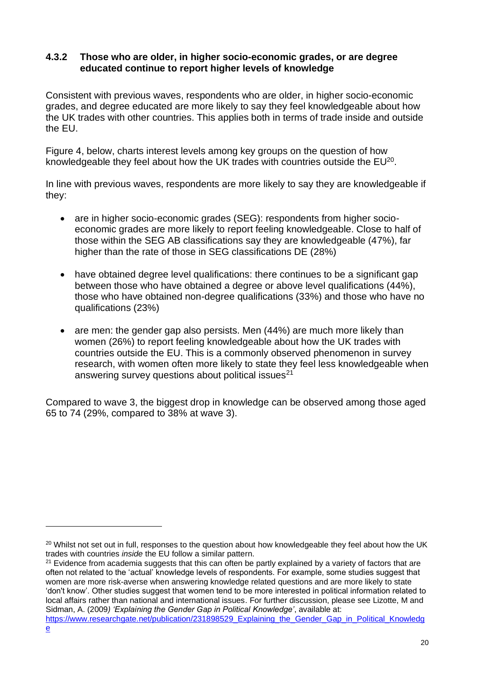### **4.3.2 Those who are older, in higher socio-economic grades, or are degree educated continue to report higher levels of knowledge**

Consistent with previous waves, respondents who are older, in higher socio-economic grades, and degree educated are more likely to say they feel knowledgeable about how the UK trades with other countries. This applies both in terms of trade inside and outside the EU.

Figure 4, below, charts interest levels among key groups on the question of how knowledgeable they feel about how the UK trades with countries outside the  $EU^{20}$ .

In line with previous waves, respondents are more likely to say they are knowledgeable if they:

- are in higher socio-economic grades (SEG): respondents from higher socioeconomic grades are more likely to report feeling knowledgeable. Close to half of those within the SEG AB classifications say they are knowledgeable (47%), far higher than the rate of those in SEG classifications DE (28%)
- have obtained degree level qualifications: there continues to be a significant gap between those who have obtained a degree or above level qualifications (44%), those who have obtained non-degree qualifications (33%) and those who have no qualifications (23%)
- are men: the gender gap also persists. Men (44%) are much more likely than women (26%) to report feeling knowledgeable about how the UK trades with countries outside the EU. This is a commonly observed phenomenon in survey research, with women often more likely to state they feel less knowledgeable when answering survey questions about political issues<sup>21</sup>

Compared to wave 3, the biggest drop in knowledge can be observed among those aged 65 to 74 (29%, compared to 38% at wave 3).

 $21$  Evidence from academia suggests that this can often be partly explained by a variety of factors that are often not related to the 'actual' knowledge levels of respondents. For example, some studies suggest that women are more risk-averse when answering knowledge related questions and are more likely to state 'don't know'. Other studies suggest that women tend to be more interested in political information related to local affairs rather than national and international issues. For further discussion, please see Lizotte, M and Sidman, A. (2009*) 'Explaining the Gender Gap in Political Knowledge'*, available at:

<sup>&</sup>lt;sup>20</sup> Whilst not set out in full, responses to the question about how knowledgeable they feel about how the UK trades with countries *inside* the EU follow a similar pattern.

[https://www.researchgate.net/publication/231898529\\_Explaining\\_the\\_Gender\\_Gap\\_in\\_Political\\_Knowledg](https://www.researchgate.net/publication/231898529_Explaining_the_Gender_Gap_in_Political_Knowledge) [e](https://www.researchgate.net/publication/231898529_Explaining_the_Gender_Gap_in_Political_Knowledge)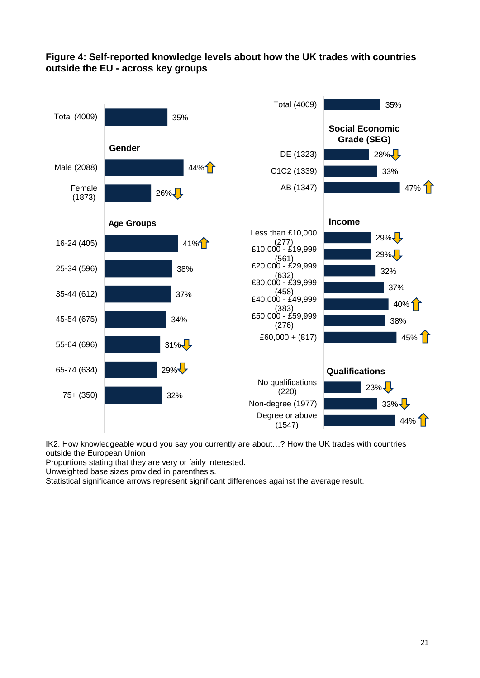

### **Figure 4: Self-reported knowledge levels about how the UK trades with countries outside the EU - across key groups**

IK2. How knowledgeable would you say you currently are about…? How the UK trades with countries outside the European Union

Proportions stating that they are very or fairly interested.

Unweighted base sizes provided in parenthesis.

Statistical significance arrows represent significant differences against the average result.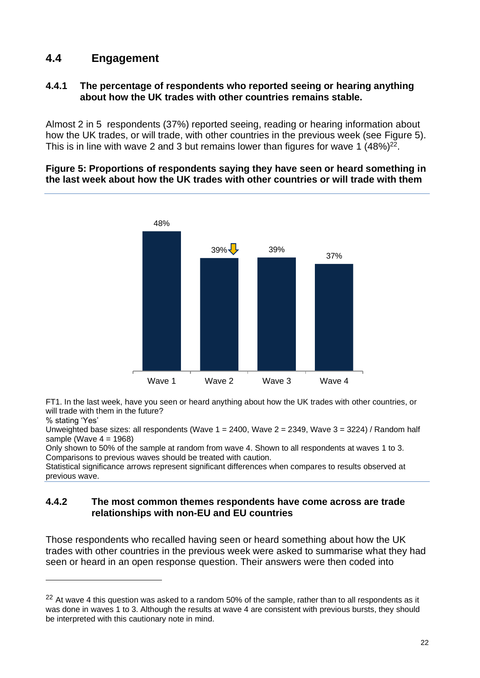## **4.4 Engagement**

### **4.4.1 The percentage of respondents who reported seeing or hearing anything about how the UK trades with other countries remains stable.**

Almost 2 in 5 respondents (37%) reported seeing, reading or hearing information about how the UK trades, or will trade, with other countries in the previous week (see [Figure 5\)](#page-21-0). This is in line with wave 2 and 3 but remains lower than figures for wave 1  $(48%)^{22}$ .

#### <span id="page-21-0"></span>**Figure 5: Proportions of respondents saying they have seen or heard something in the last week about how the UK trades with other countries or will trade with them**



FT1. In the last week, have you seen or heard anything about how the UK trades with other countries, or will trade with them in the future?

Unweighted base sizes: all respondents (Wave  $1 = 2400$ , Wave  $2 = 2349$ , Wave  $3 = 3224$ ) / Random half sample (Wave  $4 = 1968$ )

Only shown to 50% of the sample at random from wave 4. Shown to all respondents at waves 1 to 3. Comparisons to previous waves should be treated with caution.

Statistical significance arrows represent significant differences when compares to results observed at previous wave.

### **4.4.2 The most common themes respondents have come across are trade relationships with non-EU and EU countries**

Those respondents who recalled having seen or heard something about how the UK trades with other countries in the previous week were asked to summarise what they had seen or heard in an open response question. Their answers were then coded into

<sup>%</sup> stating 'Yes'

 $22$  At wave 4 this question was asked to a random 50% of the sample, rather than to all respondents as it was done in waves 1 to 3. Although the results at wave 4 are consistent with previous bursts, they should be interpreted with this cautionary note in mind.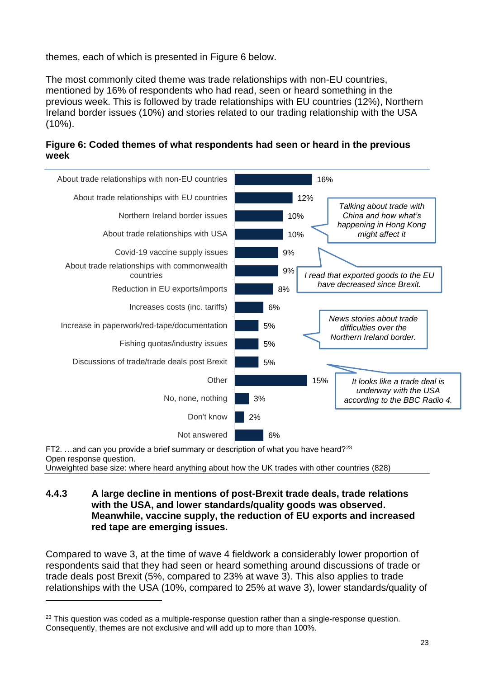themes, each of which is presented in Figure 6 below.

The most commonly cited theme was trade relationships with non-EU countries, mentioned by 16% of respondents who had read, seen or heard something in the previous week. This is followed by trade relationships with EU countries (12%), Northern Ireland border issues (10%) and stories related to our trading relationship with the USA  $(10\%)$ .



**Figure 6: Coded themes of what respondents had seen or heard in the previous week**

FT2.  $\dots$  and can you provide a brief summary or description of what you have heard?<sup>23</sup> Open response question.

Unweighted base size: where heard anything about how the UK trades with other countries (828)

### **4.4.3 A large decline in mentions of post-Brexit trade deals, trade relations with the USA, and lower standards/quality goods was observed. Meanwhile, vaccine supply, the reduction of EU exports and increased red tape are emerging issues.**

Compared to wave 3, at the time of wave 4 fieldwork a considerably lower proportion of respondents said that they had seen or heard something around discussions of trade or trade deals post Brexit (5%, compared to 23% at wave 3). This also applies to trade relationships with the USA (10%, compared to 25% at wave 3), lower standards/quality of

 $23$  This question was coded as a multiple-response question rather than a single-response question. Consequently, themes are not exclusive and will add up to more than 100%.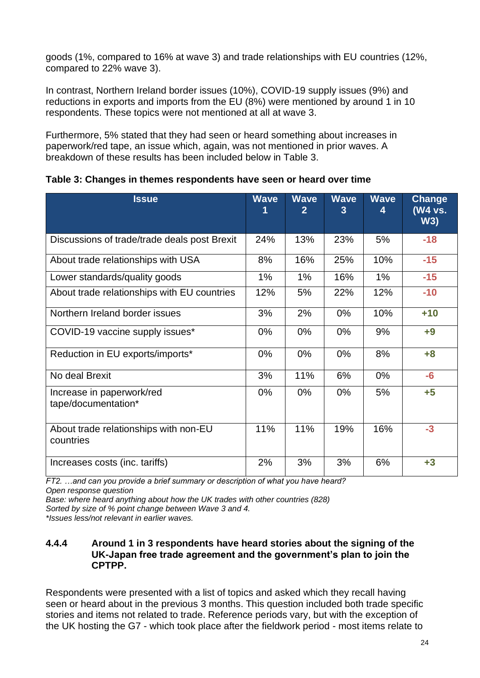goods (1%, compared to 16% at wave 3) and trade relationships with EU countries (12%, compared to 22% wave 3).

In contrast, Northern Ireland border issues (10%), COVID-19 supply issues (9%) and reductions in exports and imports from the EU (8%) were mentioned by around 1 in 10 respondents. These topics were not mentioned at all at wave 3.

Furthermore, 5% stated that they had seen or heard something about increases in paperwork/red tape, an issue which, again, was not mentioned in prior waves. A breakdown of these results has been included below in [Table 3.](#page-23-0)

| <b>Issue</b>                                       | <b>Wave</b> | <b>Wave</b><br>2 | <b>Wave</b><br>3 | <b>Wave</b><br>4 | <b>Change</b><br>(W4 vs.<br>W3) |
|----------------------------------------------------|-------------|------------------|------------------|------------------|---------------------------------|
| Discussions of trade/trade deals post Brexit       | 24%         | 13%              | 23%              | 5%               | $-18$                           |
| About trade relationships with USA                 | 8%          | 16%              | 25%              | 10%              | $-15$                           |
| Lower standards/quality goods                      | 1%          | 1%               | 16%              | 1%               | $-15$                           |
| About trade relationships with EU countries        | 12%         | 5%               | 22%              | 12%              | $-10$                           |
| Northern Ireland border issues                     | 3%          | 2%               | $0\%$            | 10%              | $+10$                           |
| COVID-19 vaccine supply issues*                    | $0\%$       | $0\%$            | $0\%$            | 9%               | $+9$                            |
| Reduction in EU exports/imports*                   | $0\%$       | $0\%$            | $0\%$            | 8%               | $+8$                            |
| No deal Brexit                                     | 3%          | 11%              | 6%               | 0%               | $-6$                            |
| Increase in paperwork/red<br>tape/documentation*   | $0\%$       | $0\%$            | $0\%$            | 5%               | $+5$                            |
| About trade relationships with non-EU<br>countries | 11%         | 11%              | 19%              | 16%              | $-3$                            |
| Increases costs (inc. tariffs)                     | 2%          | 3%               | 3%               | 6%               | $+3$                            |

<span id="page-23-0"></span>**Table 3: Changes in themes respondents have seen or heard over time**

*FT2. …and can you provide a brief summary or description of what you have heard? Open response question*

*Base: where heard anything about how the UK trades with other countries (828)*

*Sorted by size of % point change between Wave 3 and 4.* 

*\*Issues less/not relevant in earlier waves.*

### **4.4.4 Around 1 in 3 respondents have heard stories about the signing of the UK-Japan free trade agreement and the government's plan to join the CPTPP.**

Respondents were presented with a list of topics and asked which they recall having seen or heard about in the previous 3 months. This question included both trade specific stories and items not related to trade. Reference periods vary, but with the exception of the UK hosting the G7 - which took place after the fieldwork period - most items relate to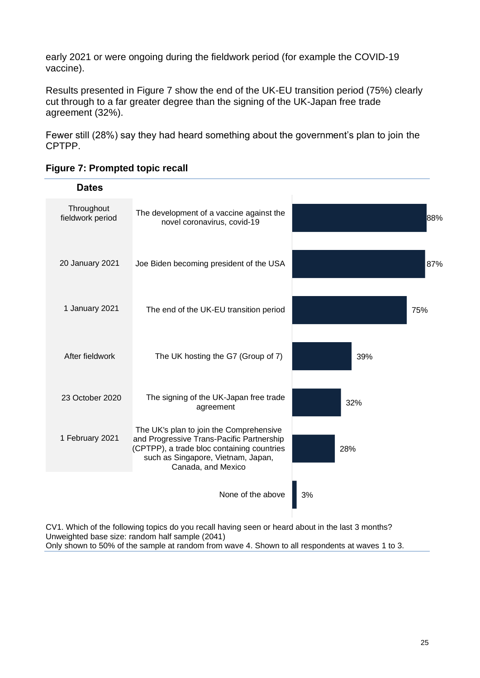early 2021 or were ongoing during the fieldwork period (for example the COVID-19 vaccine).

Results presented in Figure 7 show the end of the UK-EU transition period (75%) clearly cut through to a far greater degree than the signing of the UK-Japan free trade agreement (32%).

Fewer still (28%) say they had heard something about the government's plan to join the CPTPP.

| <b>Dates</b>                   |                                                                                                                                                                                                |     |
|--------------------------------|------------------------------------------------------------------------------------------------------------------------------------------------------------------------------------------------|-----|
| Throughout<br>fieldwork period | The development of a vaccine against the<br>novel coronavirus, covid-19                                                                                                                        | 88% |
| 20 January 2021                | Joe Biden becoming president of the USA                                                                                                                                                        | 87% |
| 1 January 2021                 | The end of the UK-EU transition period                                                                                                                                                         | 75% |
| After fieldwork                | The UK hosting the G7 (Group of 7)                                                                                                                                                             | 39% |
| 23 October 2020                | The signing of the UK-Japan free trade<br>agreement                                                                                                                                            | 32% |
| 1 February 2021                | The UK's plan to join the Comprehensive<br>and Progressive Trans-Pacific Partnership<br>(CPTPP), a trade bloc containing countries<br>such as Singapore, Vietnam, Japan,<br>Canada, and Mexico | 28% |
|                                | None of the above                                                                                                                                                                              | 3%  |

| <b>Figure 7: Prompted topic recall</b> |  |  |  |
|----------------------------------------|--|--|--|
|                                        |  |  |  |

CV1. Which of the following topics do you recall having seen or heard about in the last 3 months? Unweighted base size: random half sample (2041) Only shown to 50% of the sample at random from wave 4. Shown to all respondents at waves 1 to 3.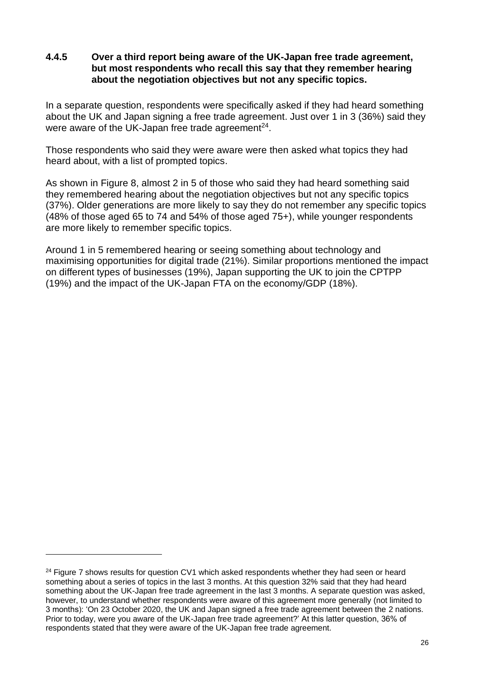### **4.4.5 Over a third report being aware of the UK-Japan free trade agreement, but most respondents who recall this say that they remember hearing about the negotiation objectives but not any specific topics.**

In a separate question, respondents were specifically asked if they had heard something about the UK and Japan signing a free trade agreement. Just over 1 in 3 (36%) said they were aware of the UK-Japan free trade agreement $24$ .

Those respondents who said they were aware were then asked what topics they had heard about, with a list of prompted topics.

As shown in Figure 8, almost 2 in 5 of those who said they had heard something said they remembered hearing about the negotiation objectives but not any specific topics (37%). Older generations are more likely to say they do not remember any specific topics (48% of those aged 65 to 74 and 54% of those aged 75+), while younger respondents are more likely to remember specific topics.

Around 1 in 5 remembered hearing or seeing something about technology and maximising opportunities for digital trade (21%). Similar proportions mentioned the impact on different types of businesses (19%), Japan supporting the UK to join the CPTPP (19%) and the impact of the UK-Japan FTA on the economy/GDP (18%).

 $24$  Figure 7 shows results for question CV1 which asked respondents whether they had seen or heard something about a series of topics in the last 3 months. At this question 32% said that they had heard something about the UK-Japan free trade agreement in the last 3 months. A separate question was asked, however, to understand whether respondents were aware of this agreement more generally (not limited to 3 months): 'On 23 October 2020, the UK and Japan signed a free trade agreement between the 2 nations. Prior to today, were you aware of the UK-Japan free trade agreement?' At this latter question, 36% of respondents stated that they were aware of the UK-Japan free trade agreement.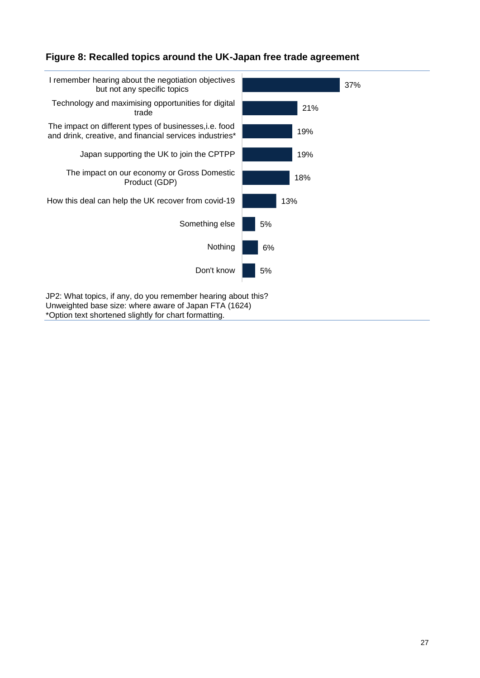### **Figure 8: Recalled topics around the UK-Japan free trade agreement**



\*Option text shortened slightly for chart formatting.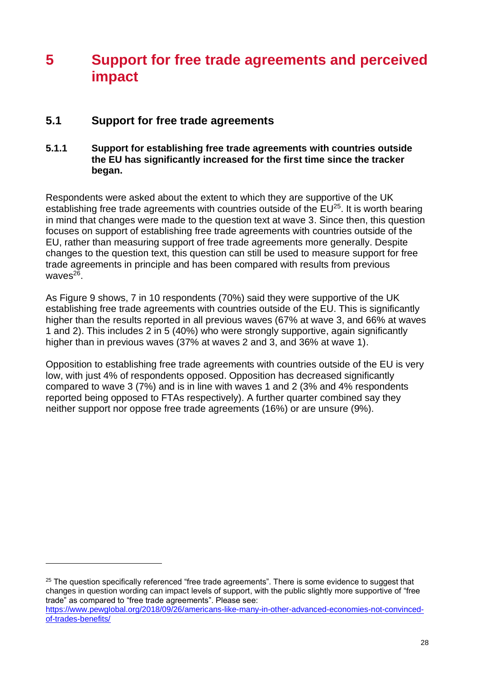# **5 Support for free trade agreements and perceived impact**

### **5.1 Support for free trade agreements**

### **5.1.1 Support for establishing free trade agreements with countries outside the EU has significantly increased for the first time since the tracker began.**

Respondents were asked about the extent to which they are supportive of the UK establishing free trade agreements with countries outside of the EU<sup>25</sup>. It is worth bearing in mind that changes were made to the question text at wave 3. Since then, this question focuses on support of establishing free trade agreements with countries outside of the EU, rather than measuring support of free trade agreements more generally. Despite changes to the question text, this question can still be used to measure support for free trade agreements in principle and has been compared with results from previous waves<sup>26</sup>.

As Figure 9 shows, 7 in 10 respondents (70%) said they were supportive of the UK establishing free trade agreements with countries outside of the EU. This is significantly higher than the results reported in all previous waves (67% at wave 3, and 66% at waves 1 and 2). This includes 2 in 5 (40%) who were strongly supportive, again significantly higher than in previous waves (37% at waves 2 and 3, and 36% at wave 1).

Opposition to establishing free trade agreements with countries outside of the EU is very low, with just 4% of respondents opposed. Opposition has decreased significantly compared to wave 3 (7%) and is in line with waves 1 and 2 (3% and 4% respondents reported being opposed to FTAs respectively). A further quarter combined say they neither support nor oppose free trade agreements (16%) or are unsure (9%).

<sup>&</sup>lt;sup>25</sup> The question specifically referenced "free trade agreements". There is some evidence to suggest that changes in question wording can impact levels of support, with the public slightly more supportive of "free trade" as compared to "free trade agreements". Please see: [https://www.pewglobal.org/2018/09/26/americans-like-many-in-other-advanced-economies-not-convinced-](https://www.pewglobal.org/2018/09/26/americans-like-many-in-other-advanced-economies-not-convinced-of-trades-benefits/)

[of-trades-benefits/](https://www.pewglobal.org/2018/09/26/americans-like-many-in-other-advanced-economies-not-convinced-of-trades-benefits/)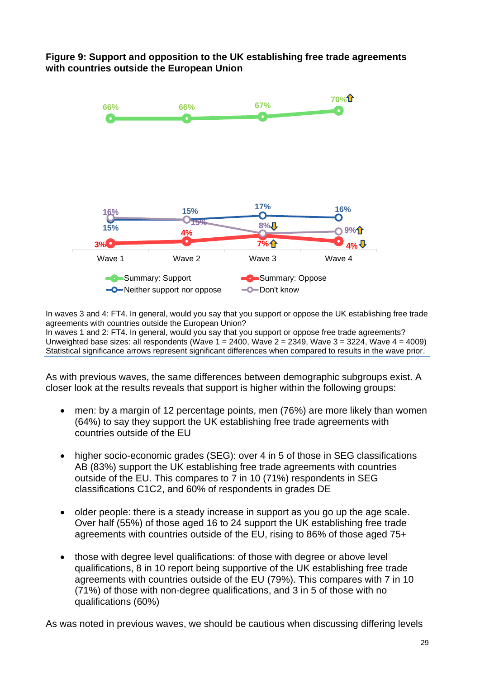### **Figure 9: Support and opposition to the UK establishing free trade agreements with countries outside the European Union**



In waves 3 and 4: FT4. In general, would you say that you support or oppose the UK establishing free trade agreements with countries outside the European Union? In waves 1 and 2: FT4. In general, would you say that you support or oppose free trade agreements?

Unweighted base sizes: all respondents (Wave  $1 = 2400$ , Wave  $2 = 2349$ , Wave  $3 = 3224$ , Wave  $4 = 4009$ ) Statistical significance arrows represent significant differences when compared to results in the wave prior.

As with previous waves, the same differences between demographic subgroups exist. A closer look at the results reveals that support is higher within the following groups:

- men: by a margin of 12 percentage points, men (76%) are more likely than women (64%) to say they support the UK establishing free trade agreements with countries outside of the EU
- higher socio-economic grades (SEG): over 4 in 5 of those in SEG classifications AB (83%) support the UK establishing free trade agreements with countries outside of the EU. This compares to 7 in 10 (71%) respondents in SEG classifications C1C2, and 60% of respondents in grades DE
- older people: there is a steady increase in support as you go up the age scale. Over half (55%) of those aged 16 to 24 support the UK establishing free trade agreements with countries outside of the EU, rising to 86% of those aged 75+
- those with degree level qualifications: of those with degree or above level qualifications, 8 in 10 report being supportive of the UK establishing free trade agreements with countries outside of the EU (79%). This compares with 7 in 10 (71%) of those with non-degree qualifications, and 3 in 5 of those with no qualifications (60%)

As was noted in previous waves, we should be cautious when discussing differing levels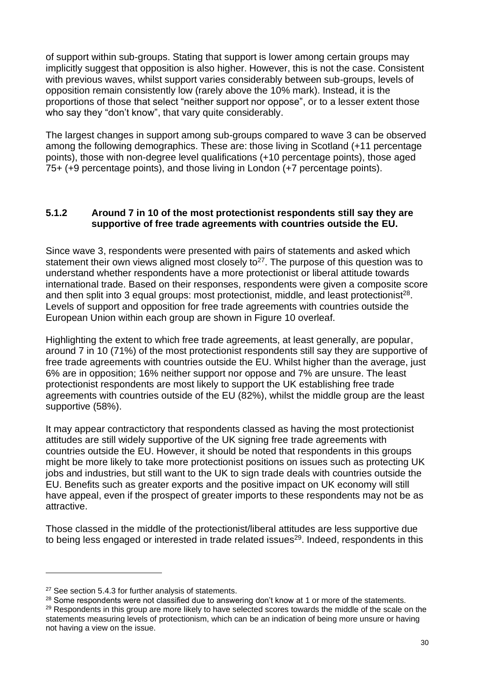of support within sub-groups. Stating that support is lower among certain groups may implicitly suggest that opposition is also higher. However, this is not the case. Consistent with previous waves, whilst support varies considerably between sub-groups, levels of opposition remain consistently low (rarely above the 10% mark). Instead, it is the proportions of those that select "neither support nor oppose", or to a lesser extent those who say they "don't know", that vary quite considerably.

The largest changes in support among sub-groups compared to wave 3 can be observed among the following demographics. These are: those living in Scotland (+11 percentage points), those with non-degree level qualifications (+10 percentage points), those aged 75+ (+9 percentage points), and those living in London (+7 percentage points).

### **5.1.2 Around 7 in 10 of the most protectionist respondents still say they are supportive of free trade agreements with countries outside the EU.**

Since wave 3, respondents were presented with pairs of statements and asked which statement their own views aligned most closely to<sup>27</sup>. The purpose of this question was to understand whether respondents have a more protectionist or liberal attitude towards international trade. Based on their responses, respondents were given a composite score and then split into 3 equal groups: most protectionist, middle, and least protectionist<sup>28</sup>. Levels of support and opposition for free trade agreements with countries outside the European Union within each group are shown in [Figure 10](#page-30-0) overleaf.

Highlighting the extent to which free trade agreements, at least generally, are popular, around 7 in 10 (71%) of the most protectionist respondents still say they are supportive of free trade agreements with countries outside the EU. Whilst higher than the average, just 6% are in opposition; 16% neither support nor oppose and 7% are unsure. The least protectionist respondents are most likely to support the UK establishing free trade agreements with countries outside of the EU (82%), whilst the middle group are the least supportive (58%).

It may appear contractictory that respondents classed as having the most protectionist attitudes are still widely supportive of the UK signing free trade agreements with countries outside the EU. However, it should be noted that respondents in this groups might be more likely to take more protectionist positions on issues such as protecting UK jobs and industries, but still want to the UK to sign trade deals with countries outside the EU. Benefits such as greater exports and the positive impact on UK economy will still have appeal, even if the prospect of greater imports to these respondents may not be as attractive.

Those classed in the middle of the protectionist/liberal attitudes are less supportive due to being less engaged or interested in trade related issues $^{29}$ . Indeed, respondents in this

<sup>&</sup>lt;sup>27</sup> See section 5.4.3 for further analysis of statements.

<sup>&</sup>lt;sup>28</sup> Some respondents were not classified due to answering don't know at 1 or more of the statements.

<sup>&</sup>lt;sup>29</sup> Respondents in this group are more likely to have selected scores towards the middle of the scale on the statements measuring levels of protectionism, which can be an indication of being more unsure or having not having a view on the issue.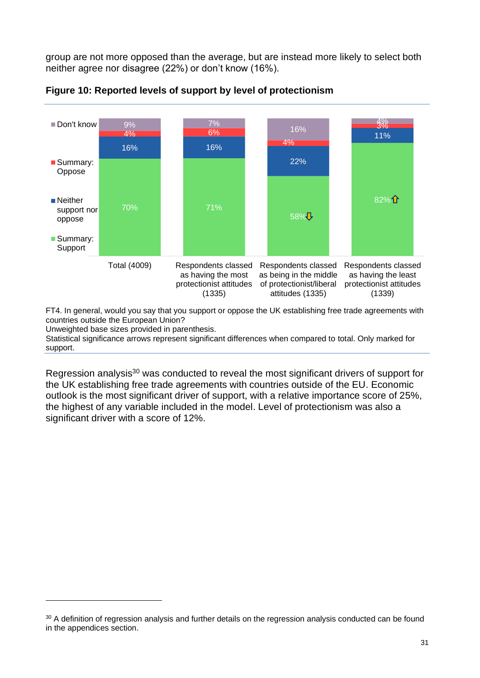group are not more opposed than the average, but are instead more likely to select both neither agree nor disagree (22%) or don't know (16%).



<span id="page-30-0"></span>**Figure 10: Reported levels of support by level of protectionism**

FT4. In general, would you say that you support or oppose the UK establishing free trade agreements with countries outside the European Union?

Unweighted base sizes provided in parenthesis.

Statistical significance arrows represent significant differences when compared to total. Only marked for support.

Regression analysis<sup>30</sup> was conducted to reveal the most significant drivers of support for the UK establishing free trade agreements with countries outside of the EU. Economic outlook is the most significant driver of support, with a relative importance score of 25%, the highest of any variable included in the model. Level of protectionism was also a significant driver with a score of 12%.

<sup>30</sup> A definition of regression analysis and further details on the regression analysis conducted can be found in the appendices section.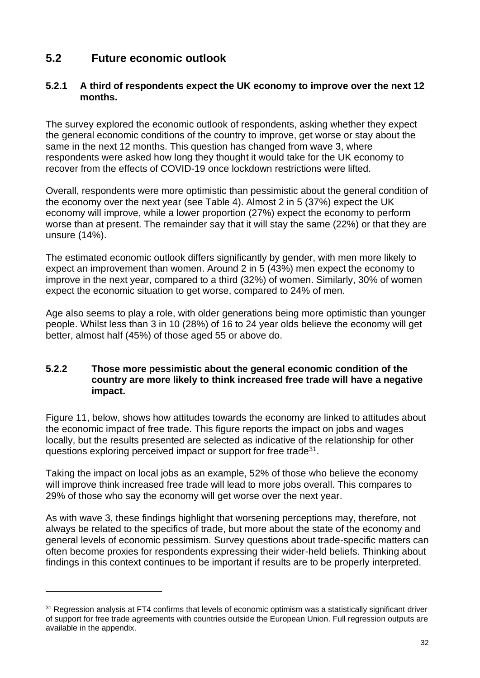# **5.2 Future economic outlook**

### **5.2.1 A third of respondents expect the UK economy to improve over the next 12 months.**

The survey explored the economic outlook of respondents, asking whether they expect the general economic conditions of the country to improve, get worse or stay about the same in the next 12 months. This question has changed from wave 3, where respondents were asked how long they thought it would take for the UK economy to recover from the effects of COVID-19 once lockdown restrictions were lifted.

Overall, respondents were more optimistic than pessimistic about the general condition of the economy over the next year (see Table 4). Almost 2 in 5 (37%) expect the UK economy will improve, while a lower proportion (27%) expect the economy to perform worse than at present. The remainder say that it will stay the same (22%) or that they are unsure (14%).

The estimated economic outlook differs significantly by gender, with men more likely to expect an improvement than women. Around 2 in 5 (43%) men expect the economy to improve in the next year, compared to a third (32%) of women. Similarly, 30% of women expect the economic situation to get worse, compared to 24% of men.

Age also seems to play a role, with older generations being more optimistic than younger people. Whilst less than 3 in 10 (28%) of 16 to 24 year olds believe the economy will get better, almost half (45%) of those aged 55 or above do.

### **5.2.2 Those more pessimistic about the general economic condition of the country are more likely to think increased free trade will have a negative impact.**

Figure 11, below, shows how attitudes towards the economy are linked to attitudes about the economic impact of free trade. This figure reports the impact on jobs and wages locally, but the results presented are selected as indicative of the relationship for other questions exploring perceived impact or support for free trade<sup>31</sup>.

Taking the impact on local jobs as an example, 52% of those who believe the economy will improve think increased free trade will lead to more jobs overall. This compares to 29% of those who say the economy will get worse over the next year.

As with wave 3, these findings highlight that worsening perceptions may, therefore, not always be related to the specifics of trade, but more about the state of the economy and general levels of economic pessimism. Survey questions about trade-specific matters can often become proxies for respondents expressing their wider-held beliefs. Thinking about findings in this context continues to be important if results are to be properly interpreted.

<sup>&</sup>lt;sup>31</sup> Regression analysis at FT4 confirms that levels of economic optimism was a statistically significant driver of support for free trade agreements with countries outside the European Union. Full regression outputs are available in the appendix.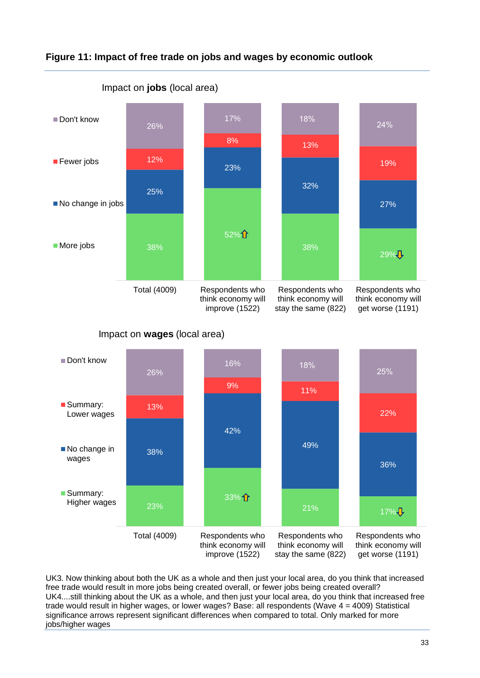





Impact on **wages** (local area)

UK3. Now thinking about both the UK as a whole and then just your local area, do you think that increased free trade would result in more jobs being created overall, or fewer jobs being created overall? UK4....still thinking about the UK as a whole, and then just your local area, do you think that increased free trade would result in higher wages, or lower wages? Base: all respondents (Wave 4 = 4009) Statistical significance arrows represent significant differences when compared to total. Only marked for more jobs/higher wages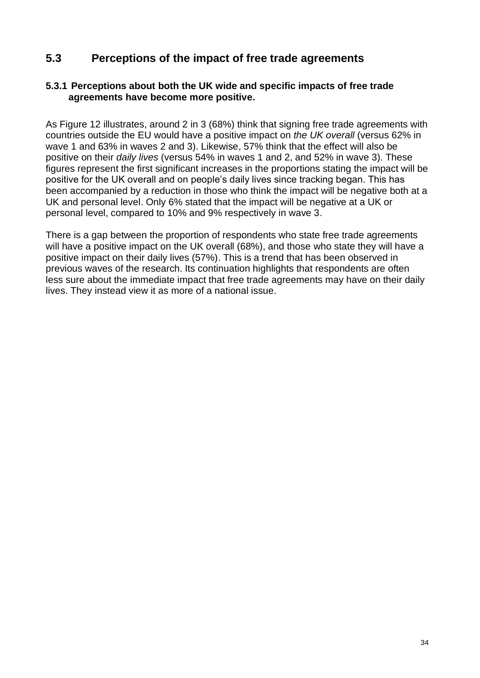## **5.3 Perceptions of the impact of free trade agreements**

### **5.3.1 Perceptions about both the UK wide and specific impacts of free trade agreements have become more positive.**

As [Figure 12](#page-34-0) illustrates, around 2 in 3 (68%) think that signing free trade agreements with countries outside the EU would have a positive impact on *the UK overall* (versus 62% in wave 1 and 63% in waves 2 and 3). Likewise, 57% think that the effect will also be positive on their *daily lives* (versus 54% in waves 1 and 2, and 52% in wave 3). These figures represent the first significant increases in the proportions stating the impact will be positive for the UK overall and on people's daily lives since tracking began. This has been accompanied by a reduction in those who think the impact will be negative both at a UK and personal level. Only 6% stated that the impact will be negative at a UK or personal level, compared to 10% and 9% respectively in wave 3.

There is a gap between the proportion of respondents who state free trade agreements will have a positive impact on the UK overall (68%), and those who state they will have a positive impact on their daily lives (57%). This is a trend that has been observed in previous waves of the research. Its continuation highlights that respondents are often less sure about the immediate impact that free trade agreements may have on their daily lives. They instead view it as more of a national issue.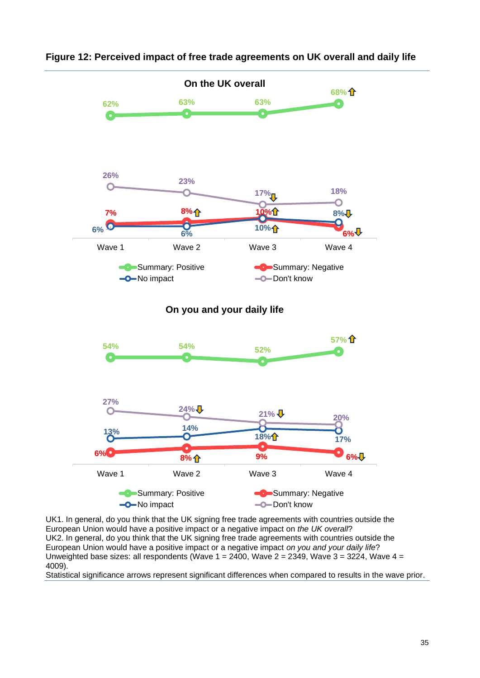

<span id="page-34-0"></span>

UK1. In general, do you think that the UK signing free trade agreements with countries outside the European Union would have a positive impact or a negative impact on *the UK overall*? UK2. In general, do you think that the UK signing free trade agreements with countries outside the European Union would have a positive impact or a negative impact *on you and your daily life*? Unweighted base sizes: all respondents (Wave  $1 = 2400$ , Wave  $2 = 2349$ , Wave  $3 = 3224$ , Wave  $4 = 1240$ 4009).

Statistical significance arrows represent significant differences when compared to results in the wave prior.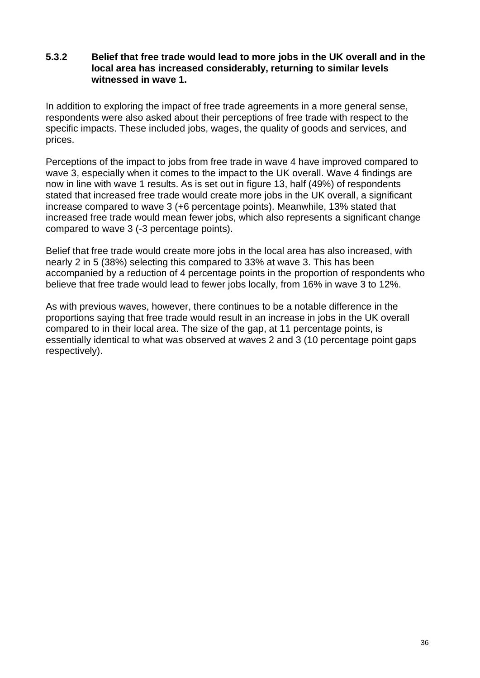### **5.3.2 Belief that free trade would lead to more jobs in the UK overall and in the local area has increased considerably, returning to similar levels witnessed in wave 1.**

In addition to exploring the impact of free trade agreements in a more general sense, respondents were also asked about their perceptions of free trade with respect to the specific impacts. These included jobs, wages, the quality of goods and services, and prices.

Perceptions of the impact to jobs from free trade in wave 4 have improved compared to wave 3, especially when it comes to the impact to the UK overall. Wave 4 findings are now in line with wave 1 results. As is set out in figure 13, half (49%) of respondents stated that increased free trade would create more jobs in the UK overall, a significant increase compared to wave 3 (+6 percentage points). Meanwhile, 13% stated that increased free trade would mean fewer jobs, which also represents a significant change compared to wave 3 (-3 percentage points).

Belief that free trade would create more jobs in the local area has also increased, with nearly 2 in 5 (38%) selecting this compared to 33% at wave 3. This has been accompanied by a reduction of 4 percentage points in the proportion of respondents who believe that free trade would lead to fewer jobs locally, from 16% in wave 3 to 12%.

As with previous waves, however, there continues to be a notable difference in the proportions saying that free trade would result in an increase in jobs in the UK overall compared to in their local area. The size of the gap, at 11 percentage points, is essentially identical to what was observed at waves 2 and 3 (10 percentage point gaps respectively).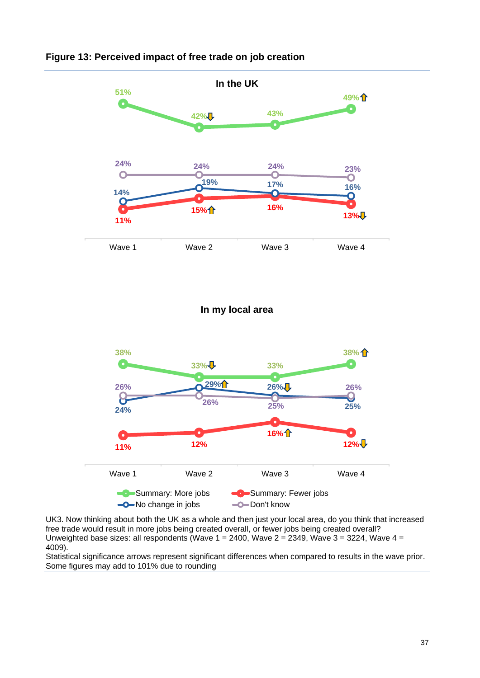

#### **Figure 13: Perceived impact of free trade on job creation**

#### **In my local area**



UK3. Now thinking about both the UK as a whole and then just your local area, do you think that increased free trade would result in more jobs being created overall, or fewer jobs being created overall? Unweighted base sizes: all respondents (Wave  $1 = 2400$ , Wave  $2 = 2349$ , Wave  $3 = 3224$ , Wave  $4 = 1240$ 4009).

Statistical significance arrows represent significant differences when compared to results in the wave prior. Some figures may add to 101% due to rounding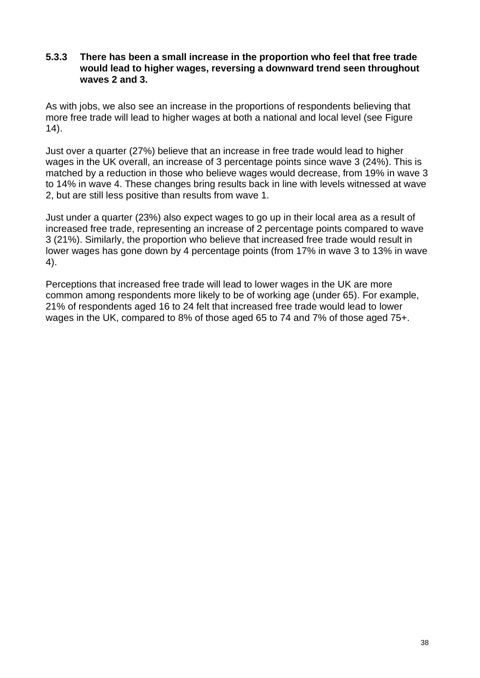#### **5.3.3 There has been a small increase in the proportion who feel that free trade would lead to higher wages, reversing a downward trend seen throughout waves 2 and 3.**

As with jobs, we also see an increase in the proportions of respondents believing that more free trade will lead to higher wages at both a national and local level (see [Figure](#page-38-0)  [14\)](#page-38-0).

Just over a quarter (27%) believe that an increase in free trade would lead to higher wages in the UK overall, an increase of 3 percentage points since wave 3 (24%). This is matched by a reduction in those who believe wages would decrease, from 19% in wave 3 to 14% in wave 4. These changes bring results back in line with levels witnessed at wave 2, but are still less positive than results from wave 1.

Just under a quarter (23%) also expect wages to go up in their local area as a result of increased free trade, representing an increase of 2 percentage points compared to wave 3 (21%). Similarly, the proportion who believe that increased free trade would result in lower wages has gone down by 4 percentage points (from 17% in wave 3 to 13% in wave 4).

Perceptions that increased free trade will lead to lower wages in the UK are more common among respondents more likely to be of working age (under 65). For example, 21% of respondents aged 16 to 24 felt that increased free trade would lead to lower wages in the UK, compared to 8% of those aged 65 to 74 and 7% of those aged 75+.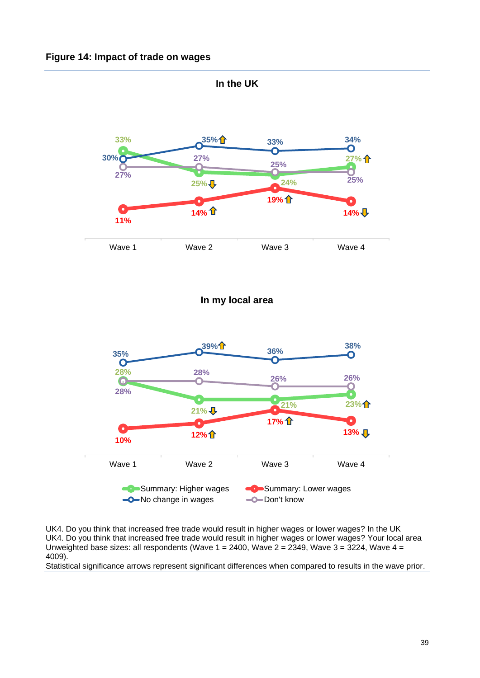<span id="page-38-0"></span>

UK4. Do you think that increased free trade would result in higher wages or lower wages? In the UK UK4. Do you think that increased free trade would result in higher wages or lower wages? Your local area Unweighted base sizes: all respondents (Wave  $1 = 2400$ , Wave  $2 = 2349$ , Wave  $3 = 3224$ , Wave  $4 = 1240$ 4009).

Statistical significance arrows represent significant differences when compared to results in the wave prior.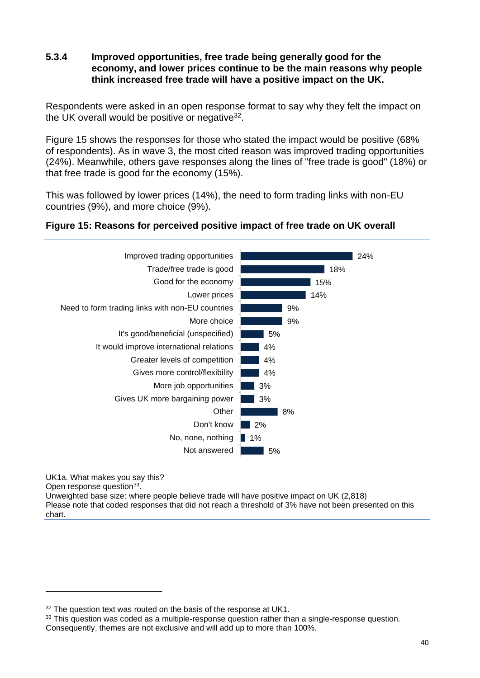#### **5.3.4 Improved opportunities, free trade being generally good for the economy, and lower prices continue to be the main reasons why people think increased free trade will have a positive impact on the UK.**

Respondents were asked in an open response format to say why they felt the impact on the UK overall would be positive or negative $32$ .

[Figure 15](#page-39-0) shows the responses for those who stated the impact would be positive (68% of respondents). As in wave 3, the most cited reason was improved trading opportunities (24%). Meanwhile, others gave responses along the lines of "free trade is good" (18%) or that free trade is good for the economy (15%).

This was followed by lower prices (14%), the need to form trading links with non-EU countries (9%), and more choice (9%).

#### <span id="page-39-0"></span>**Figure 15: Reasons for perceived positive impact of free trade on UK overall**



UK1a. What makes you say this? Open response question<sup>33</sup>.

Unweighted base size: where people believe trade will have positive impact on UK (2,818) Please note that coded responses that did not reach a threshold of 3% have not been presented on this chart.

 $32$  The question text was routed on the basis of the response at UK1.

 $33$  This question was coded as a multiple-response question rather than a single-response question. Consequently, themes are not exclusive and will add up to more than 100%.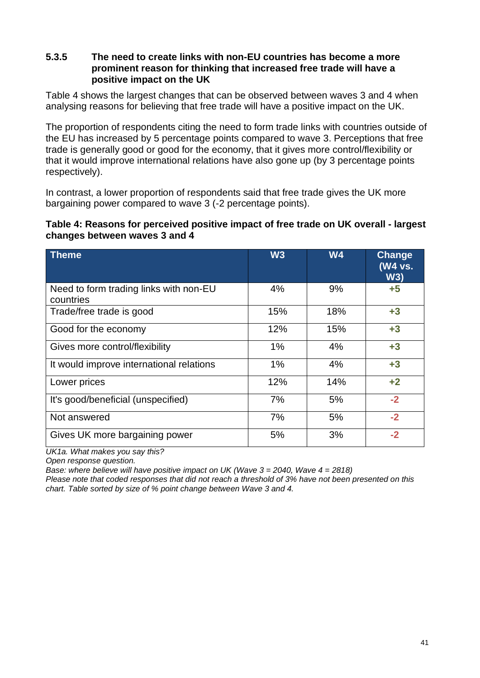#### **5.3.5 The need to create links with non-EU countries has become a more prominent reason for thinking that increased free trade will have a positive impact on the UK**

[Table 4](#page-40-0) shows the largest changes that can be observed between waves 3 and 4 when analysing reasons for believing that free trade will have a positive impact on the UK.

The proportion of respondents citing the need to form trade links with countries outside of the EU has increased by 5 percentage points compared to wave 3. Perceptions that free trade is generally good or good for the economy, that it gives more control/flexibility or that it would improve international relations have also gone up (by 3 percentage points respectively).

In contrast, a lower proportion of respondents said that free trade gives the UK more bargaining power compared to wave 3 (-2 percentage points).

#### <span id="page-40-0"></span>**Table 4: Reasons for perceived positive impact of free trade on UK overall - largest changes between waves 3 and 4**

| <b>Theme</b>                                        | W3    | <b>W4</b> | Change<br>(W4 vs.<br>W3) |
|-----------------------------------------------------|-------|-----------|--------------------------|
| Need to form trading links with non-EU<br>countries | 4%    | 9%        | $+5$                     |
| Trade/free trade is good                            | 15%   | 18%       | $+3$                     |
| Good for the economy                                | 12%   | 15%       | $+3$                     |
| Gives more control/flexibility                      | $1\%$ | 4%        | $+3$                     |
| It would improve international relations            | $1\%$ | 4%        | $+3$                     |
| Lower prices                                        | 12%   | 14%       | $+2$                     |
| It's good/beneficial (unspecified)                  | 7%    | 5%        | $-2$                     |
| Not answered                                        | 7%    | 5%        | $-2$                     |
| Gives UK more bargaining power                      | 5%    | 3%        | $-2$                     |

*UK1a. What makes you say this?* 

*Open response question.*

*Base: where believe will have positive impact on UK (Wave 3 = 2040, Wave 4 = 2818)*

*Please note that coded responses that did not reach a threshold of 3% have not been presented on this chart. Table sorted by size of % point change between Wave 3 and 4.*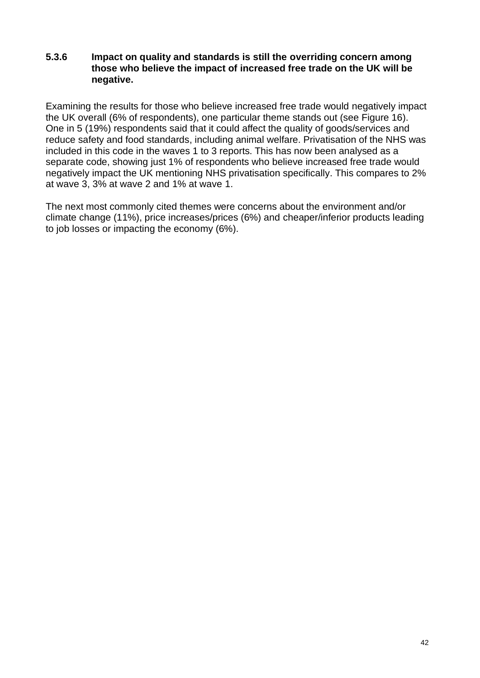#### **5.3.6 Impact on quality and standards is still the overriding concern among those who believe the impact of increased free trade on the UK will be negative.**

Examining the results for those who believe increased free trade would negatively impact the UK overall (6% of respondents), one particular theme stands out (see [Figure 16\)](#page-42-0). One in 5 (19%) respondents said that it could affect the quality of goods/services and reduce safety and food standards, including animal welfare. Privatisation of the NHS was included in this code in the waves 1 to 3 reports. This has now been analysed as a separate code, showing just 1% of respondents who believe increased free trade would negatively impact the UK mentioning NHS privatisation specifically. This compares to 2% at wave 3, 3% at wave 2 and 1% at wave 1.

The next most commonly cited themes were concerns about the environment and/or climate change (11%), price increases/prices (6%) and cheaper/inferior products leading to job losses or impacting the economy (6%).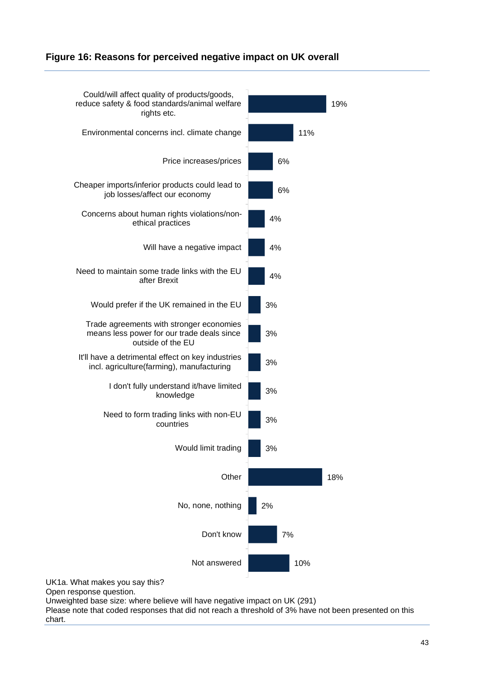#### <span id="page-42-0"></span>**Figure 16: Reasons for perceived negative impact on UK overall**



Unweighted base size: where believe will have negative impact on UK (291) Please note that coded responses that did not reach a threshold of 3% have not been presented on this

chart.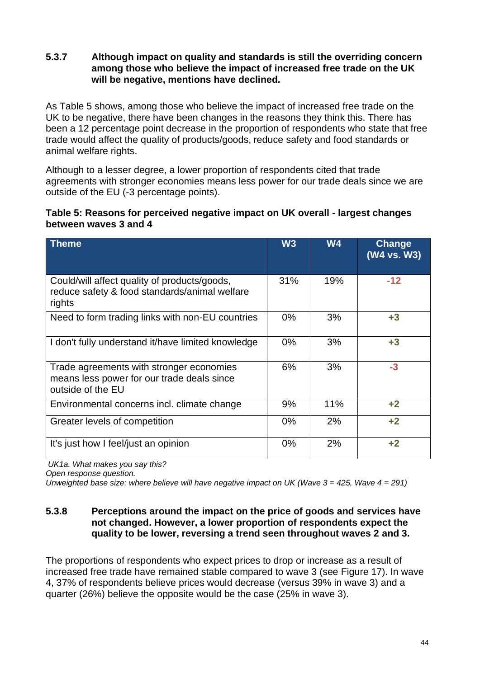#### **5.3.7 Although impact on quality and standards is still the overriding concern among those who believe the impact of increased free trade on the UK will be negative, mentions have declined***.*

As Table 5 shows, among those who believe the impact of increased free trade on the UK to be negative, there have been changes in the reasons they think this. There has been a 12 percentage point decrease in the proportion of respondents who state that free trade would affect the quality of products/goods, reduce safety and food standards or animal welfare rights.

Although to a lesser degree, a lower proportion of respondents cited that trade agreements with stronger economies means less power for our trade deals since we are outside of the EU (-3 percentage points).

#### **Table 5: Reasons for perceived negative impact on UK overall - largest changes between waves 3 and 4**

| <b>Theme</b>                                                                                                | W3    | <b>W4</b> | <b>Change</b><br>(W4 vs. W3) |
|-------------------------------------------------------------------------------------------------------------|-------|-----------|------------------------------|
| Could/will affect quality of products/goods,<br>reduce safety & food standards/animal welfare<br>rights     | 31%   | 19%       | $-12$                        |
| Need to form trading links with non-EU countries                                                            | $0\%$ | 3%        | $+3$                         |
| I don't fully understand it/have limited knowledge                                                          | $0\%$ | 3%        | $+3$                         |
| Trade agreements with stronger economies<br>means less power for our trade deals since<br>outside of the EU | 6%    | 3%        | $-3$                         |
| Environmental concerns incl. climate change                                                                 | 9%    | 11%       | $+2$                         |
| Greater levels of competition                                                                               | $0\%$ | 2%        | $+2$                         |
| It's just how I feel/just an opinion                                                                        | $0\%$ | 2%        | $+2$                         |

*UK1a. What makes you say this?*

*Open response question.*

*Unweighted base size: where believe will have negative impact on UK (Wave 3 = 425, Wave 4 = 291)*

#### **5.3.8 Perceptions around the impact on the price of goods and services have not changed. However, a lower proportion of respondents expect the quality to be lower, reversing a trend seen throughout waves 2 and 3.**

The proportions of respondents who expect prices to drop or increase as a result of increased free trade have remained stable compared to wave 3 (see [Figure 17\)](#page-45-0). In wave 4, 37% of respondents believe prices would decrease (versus 39% in wave 3) and a quarter (26%) believe the opposite would be the case (25% in wave 3).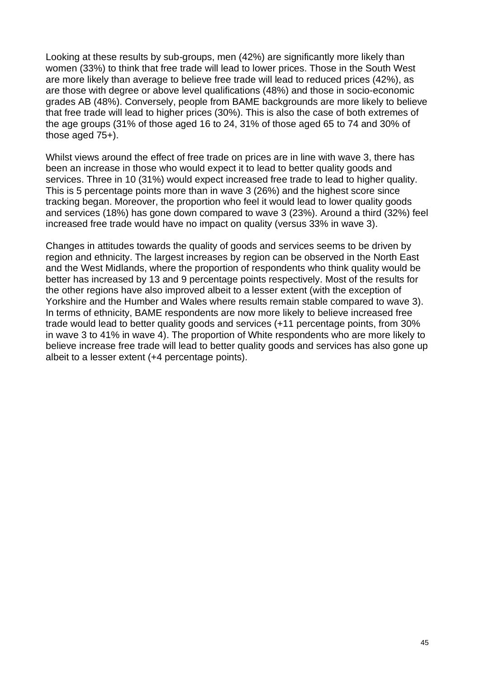Looking at these results by sub-groups, men (42%) are significantly more likely than women (33%) to think that free trade will lead to lower prices. Those in the South West are more likely than average to believe free trade will lead to reduced prices (42%), as are those with degree or above level qualifications (48%) and those in socio-economic grades AB (48%). Conversely, people from BAME backgrounds are more likely to believe that free trade will lead to higher prices (30%). This is also the case of both extremes of the age groups (31% of those aged 16 to 24, 31% of those aged 65 to 74 and 30% of those aged 75+).

Whilst views around the effect of free trade on prices are in line with wave 3, there has been an increase in those who would expect it to lead to better quality goods and services. Three in 10 (31%) would expect increased free trade to lead to higher quality. This is 5 percentage points more than in wave 3 (26%) and the highest score since tracking began. Moreover, the proportion who feel it would lead to lower quality goods and services (18%) has gone down compared to wave 3 (23%). Around a third (32%) feel increased free trade would have no impact on quality (versus 33% in wave 3).

Changes in attitudes towards the quality of goods and services seems to be driven by region and ethnicity. The largest increases by region can be observed in the North East and the West Midlands, where the proportion of respondents who think quality would be better has increased by 13 and 9 percentage points respectively. Most of the results for the other regions have also improved albeit to a lesser extent (with the exception of Yorkshire and the Humber and Wales where results remain stable compared to wave 3). In terms of ethnicity, BAME respondents are now more likely to believe increased free trade would lead to better quality goods and services (+11 percentage points, from 30% in wave 3 to 41% in wave 4). The proportion of White respondents who are more likely to believe increase free trade will lead to better quality goods and services has also gone up albeit to a lesser extent (+4 percentage points).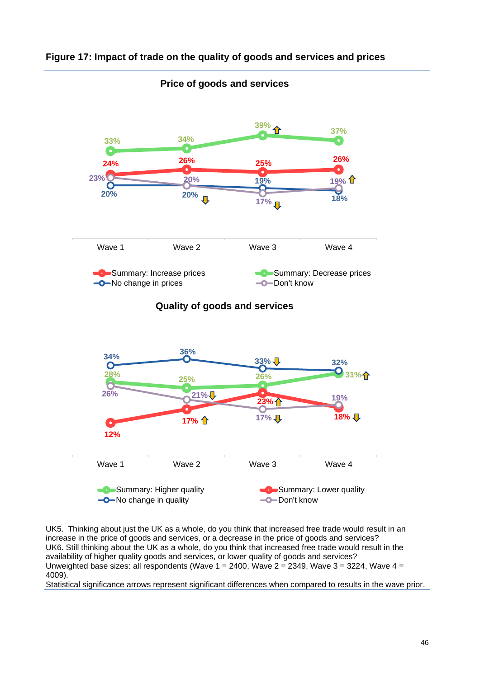

#### <span id="page-45-0"></span>**Figure 17: Impact of trade on the quality of goods and services and prices**

**Price of goods and services**

UK5. Thinking about just the UK as a whole, do you think that increased free trade would result in an increase in the price of goods and services, or a decrease in the price of goods and services? UK6. Still thinking about the UK as a whole, do you think that increased free trade would result in the availability of higher quality goods and services, or lower quality of goods and services? Unweighted base sizes: all respondents (Wave  $1 = 2400$ , Wave  $2 = 2349$ , Wave  $3 = 3224$ , Wave  $4 = 1240$ 4009).

Summary: Higher quality Summary: Lower quality

 $\leftarrow$ No change in quality  $\leftarrow$ Don't know

Statistical significance arrows represent significant differences when compared to results in the wave prior.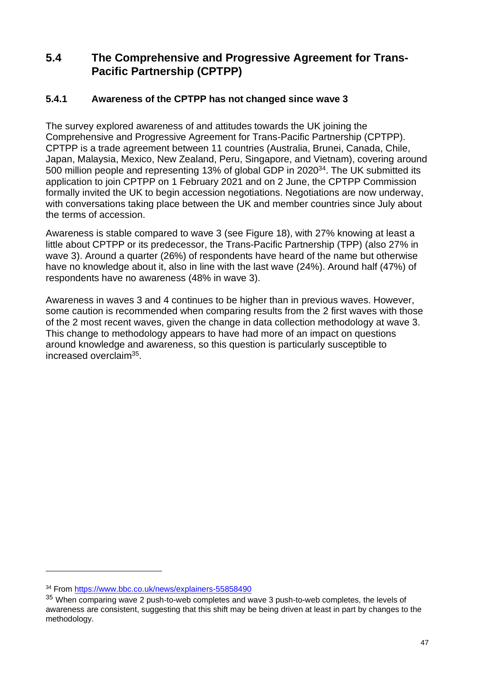## **5.4 The Comprehensive and Progressive Agreement for Trans-Pacific Partnership (CPTPP)**

### **5.4.1 Awareness of the CPTPP has not changed since wave 3**

The survey explored awareness of and attitudes towards the UK joining the Comprehensive and Progressive Agreement for Trans-Pacific Partnership (CPTPP). CPTPP is a trade agreement between 11 countries (Australia, Brunei, Canada, Chile, Japan, Malaysia, Mexico, New Zealand, Peru, Singapore, and Vietnam), covering around 500 million people and representing 13% of global GDP in 2020<sup>34</sup>. The UK submitted its application to join CPTPP on 1 February 2021 and on 2 June, the CPTPP Commission formally invited the UK to begin accession negotiations. Negotiations are now underway, with conversations taking place between the UK and member countries since July about the terms of accession.

Awareness is stable compared to wave 3 (see [Figure 18\)](#page-47-0), with 27% knowing at least a little about CPTPP or its predecessor, the Trans-Pacific Partnership (TPP) (also 27% in wave 3). Around a quarter (26%) of respondents have heard of the name but otherwise have no knowledge about it, also in line with the last wave (24%). Around half (47%) of respondents have no awareness (48% in wave 3).

Awareness in waves 3 and 4 continues to be higher than in previous waves. However, some caution is recommended when comparing results from the 2 first waves with those of the 2 most recent waves, given the change in data collection methodology at wave 3. This change to methodology appears to have had more of an impact on questions around knowledge and awareness, so this question is particularly susceptible to increased overclaim<sup>35</sup>.

<sup>34</sup> From<https://www.bbc.co.uk/news/explainers-55858490>

 $35$  When comparing wave 2 push-to-web completes and wave 3 push-to-web completes, the levels of awareness are consistent, suggesting that this shift may be being driven at least in part by changes to the methodology.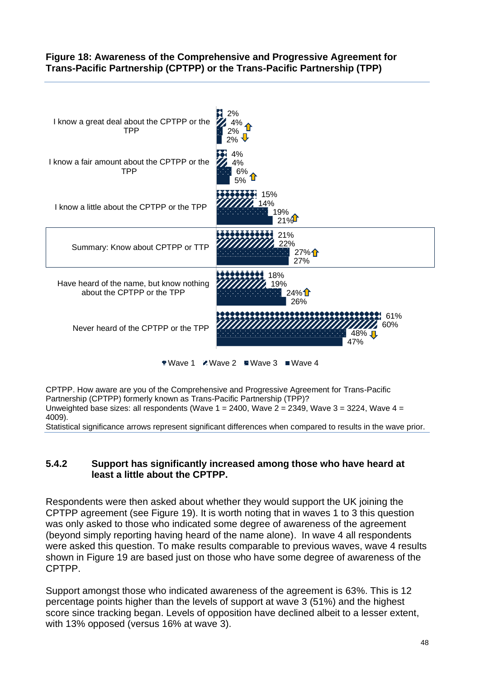#### <span id="page-47-0"></span>**Figure 18: Awareness of the Comprehensive and Progressive Agreement for Trans-Pacific Partnership (CPTPP) or the Trans-Pacific Partnership (TPP)**



 $\bullet$  Wave 1  $\bullet$  Wave 2  $\bullet$  Wave 3  $\bullet$  Wave 4

CPTPP. How aware are you of the Comprehensive and Progressive Agreement for Trans-Pacific Partnership (CPTPP) formerly known as Trans-Pacific Partnership (TPP)? Unweighted base sizes: all respondents (Wave  $1 = 2400$ , Wave  $2 = 2349$ , Wave  $3 = 3224$ , Wave  $4 = 12400$ 4009).

Statistical significance arrows represent significant differences when compared to results in the wave prior.

#### **5.4.2 Support has significantly increased among those who have heard at least a little about the CPTPP.**

Respondents were then asked about whether they would support the UK joining the CPTPP agreement (see [Figure 19\)](#page-48-0). It is worth noting that in waves 1 to 3 this question was only asked to those who indicated some degree of awareness of the agreement (beyond simply reporting having heard of the name alone). In wave 4 all respondents were asked this question. To make results comparable to previous waves, wave 4 results shown in [Figure 19](#page-48-0) are based just on those who have some degree of awareness of the CPTPP.

Support amongst those who indicated awareness of the agreement is 63%. This is 12 percentage points higher than the levels of support at wave 3 (51%) and the highest score since tracking began. Levels of opposition have declined albeit to a lesser extent, with 13% opposed (versus 16% at wave 3).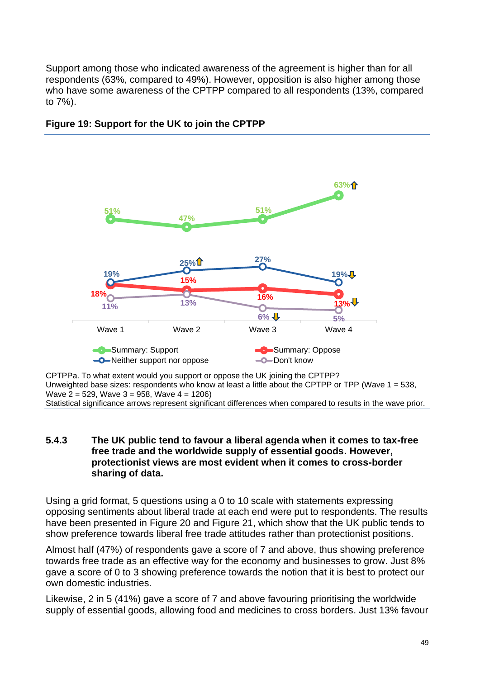Support among those who indicated awareness of the agreement is higher than for all respondents (63%, compared to 49%). However, opposition is also higher among those who have some awareness of the CPTPP compared to all respondents (13%, compared to 7%).



## <span id="page-48-0"></span>**Figure 19: Support for the UK to join the CPTPP**

CPTPPa. To what extent would you support or oppose the UK joining the CPTPP? Unweighted base sizes: respondents who know at least a little about the CPTPP or TPP (Wave 1 = 538, Wave 2 = 529, Wave 3 = 958, Wave 4 = 1206)

Statistical significance arrows represent significant differences when compared to results in the wave prior.

#### **5.4.3 The UK public tend to favour a liberal agenda when it comes to tax-free free trade and the worldwide supply of essential goods. However, protectionist views are most evident when it comes to cross-border sharing of data.**

Using a grid format, 5 questions using a 0 to 10 scale with statements expressing opposing sentiments about liberal trade at each end were put to respondents. The results have been presented in [Figure 20](#page-50-0) and [Figure](#page-51-0) 21, which show that the UK public tends to show preference towards liberal free trade attitudes rather than protectionist positions.

Almost half (47%) of respondents gave a score of 7 and above, thus showing preference towards free trade as an effective way for the economy and businesses to grow. Just 8% gave a score of 0 to 3 showing preference towards the notion that it is best to protect our own domestic industries.

Likewise, 2 in 5 (41%) gave a score of 7 and above favouring prioritising the worldwide supply of essential goods, allowing food and medicines to cross borders. Just 13% favour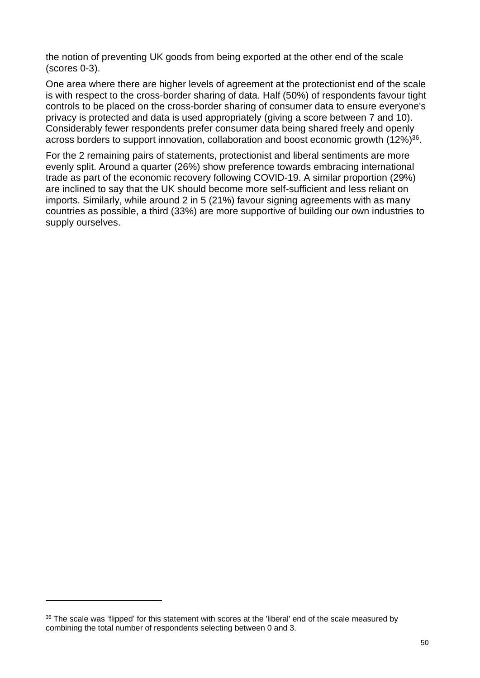the notion of preventing UK goods from being exported at the other end of the scale (scores 0-3).

One area where there are higher levels of agreement at the protectionist end of the scale is with respect to the cross-border sharing of data. Half (50%) of respondents favour tight controls to be placed on the cross-border sharing of consumer data to ensure everyone's privacy is protected and data is used appropriately (giving a score between 7 and 10). Considerably fewer respondents prefer consumer data being shared freely and openly across borders to support innovation, collaboration and boost economic growth (12%)<sup>36</sup>.

For the 2 remaining pairs of statements, protectionist and liberal sentiments are more evenly split. Around a quarter (26%) show preference towards embracing international trade as part of the economic recovery following COVID-19. A similar proportion (29%) are inclined to say that the UK should become more self-sufficient and less reliant on imports. Similarly, while around 2 in 5 (21%) favour signing agreements with as many countries as possible, a third (33%) are more supportive of building our own industries to supply ourselves.

<sup>&</sup>lt;sup>36</sup> The scale was 'flipped' for this statement with scores at the 'liberal' end of the scale measured by combining the total number of respondents selecting between 0 and 3.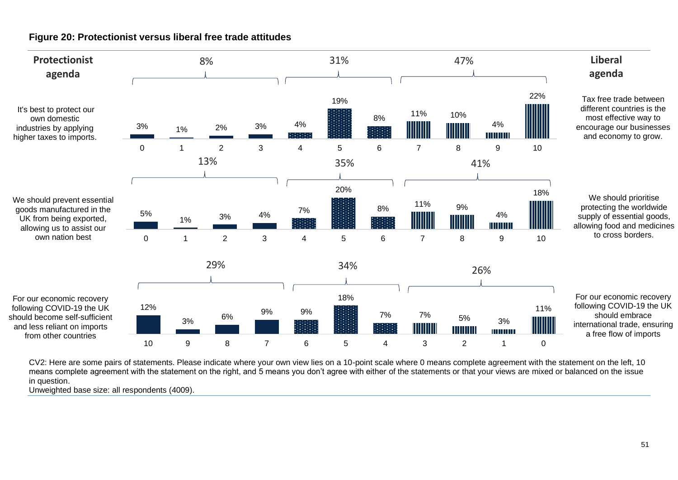

**Figure 20: Protectionist versus liberal free trade attitudes**

<span id="page-50-0"></span>CV2: Here are some pairs of statements. Please indicate where your own view lies on a 10-point scale where 0 means complete agreement with the statement on the left, 10 means complete agreement with the statement on the right, and 5 means you don't agree with either of the statements or that your views are mixed or balanced on the issue in question.

Unweighted base size: all respondents (4009).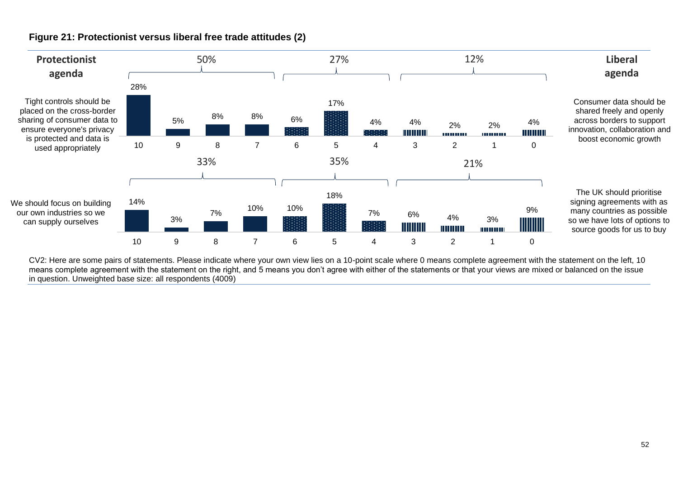

#### **Figure 21: Protectionist versus liberal free trade attitudes (2)**

<span id="page-51-0"></span>CV2: Here are some pairs of statements. Please indicate where your own view lies on a 10-point scale where 0 means complete agreement with the statement on the left, 10 means complete agreement with the statement on the right, and 5 means you don't agree with either of the statements or that your views are mixed or balanced on the issue in question. Unweighted base size: all respondents (4009)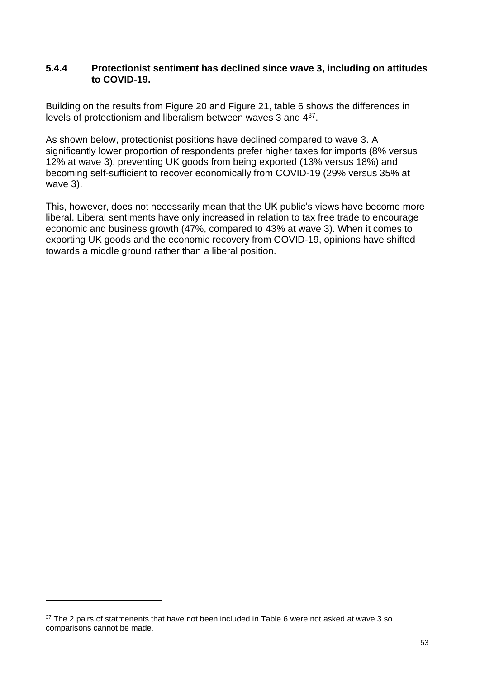#### **5.4.4 Protectionist sentiment has declined since wave 3, including on attitudes to COVID-19.**

Building on the results from [Figure 20](#page-50-0) and [Figure 21,](#page-51-0) table 6 shows the differences in levels of protectionism and liberalism between waves 3 and 4<sup>37</sup>.

As shown below, protectionist positions have declined compared to wave 3. A significantly lower proportion of respondents prefer higher taxes for imports (8% versus 12% at wave 3), preventing UK goods from being exported (13% versus 18%) and becoming self-sufficient to recover economically from COVID-19 (29% versus 35% at wave 3).

This, however, does not necessarily mean that the UK public's views have become more liberal. Liberal sentiments have only increased in relation to tax free trade to encourage economic and business growth (47%, compared to 43% at wave 3). When it comes to exporting UK goods and the economic recovery from COVID-19, opinions have shifted towards a middle ground rather than a liberal position.

 $37$  The 2 pairs of statmenents that have not been included in [Table 6](#page-53-0) were not asked at wave 3 so comparisons cannot be made.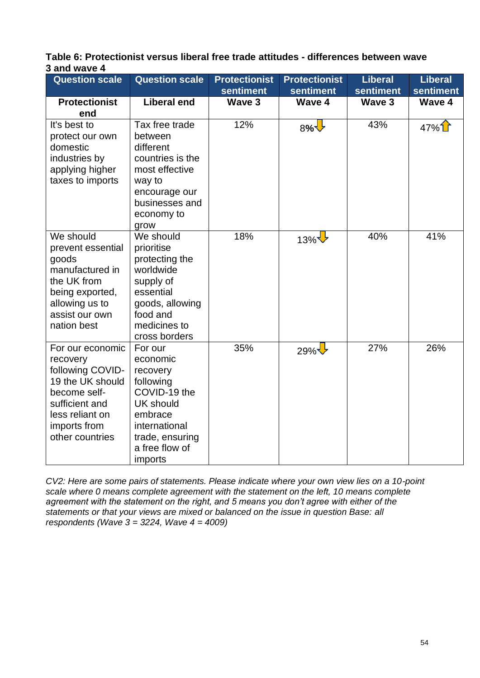<span id="page-53-0"></span>

| Table 6: Protectionist versus liberal free trade attitudes - differences between wave |  |
|---------------------------------------------------------------------------------------|--|
| 3 and wave 4                                                                          |  |

| <b>Question scale</b>                                                                                                                                        | <b>Question scale</b>                                                                                                                                        | <b>Protectionist</b><br><b>sentiment</b> | <b>Protectionist</b><br>sentiment | <b>Liberal</b><br>sentiment | <b>Liberal</b><br>sentiment |
|--------------------------------------------------------------------------------------------------------------------------------------------------------------|--------------------------------------------------------------------------------------------------------------------------------------------------------------|------------------------------------------|-----------------------------------|-----------------------------|-----------------------------|
| <b>Protectionist</b>                                                                                                                                         | <b>Liberal end</b>                                                                                                                                           | Wave 3                                   | Wave 4                            | Wave 3                      | Wave 4                      |
| end                                                                                                                                                          |                                                                                                                                                              |                                          |                                   |                             |                             |
| It's best to<br>protect our own<br>domestic<br>industries by<br>applying higher<br>taxes to imports                                                          | Tax free trade<br>between<br>different<br>countries is the<br>most effective<br>way to<br>encourage our<br>businesses and<br>economy to<br>grow              | 12%                                      | 8%                                | 43%                         | $47\%$                      |
| We should<br>prevent essential<br>goods<br>manufactured in<br>the UK from<br>being exported,<br>allowing us to<br>assist our own<br>nation best              | We should<br>prioritise<br>protecting the<br>worldwide<br>supply of<br>essential<br>goods, allowing<br>food and<br>medicines to<br>cross borders             | 18%                                      | 13% $\bigvee$                     | 40%                         | 41%                         |
| For our economic<br>recovery<br>following COVID-<br>19 the UK should<br>become self-<br>sufficient and<br>less reliant on<br>imports from<br>other countries | For our<br>economic<br>recovery<br>following<br>COVID-19 the<br><b>UK should</b><br>embrace<br>international<br>trade, ensuring<br>a free flow of<br>imports | 35%                                      | $29\%$                            | 27%                         | 26%                         |

*CV2: Here are some pairs of statements. Please indicate where your own view lies on a 10-point scale where 0 means complete agreement with the statement on the left, 10 means complete agreement with the statement on the right, and 5 means you don't agree with either of the statements or that your views are mixed or balanced on the issue in question Base: all respondents (Wave 3 = 3224, Wave 4 = 4009)*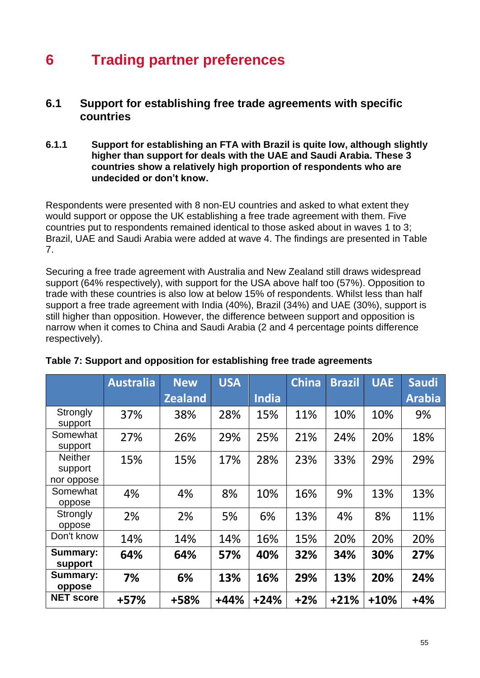# **6 Trading partner preferences**

## **6.1 Support for establishing free trade agreements with specific countries**

#### **6.1.1 Support for establishing an FTA with Brazil is quite low, although slightly higher than support for deals with the UAE and Saudi Arabia. These 3 countries show a relatively high proportion of respondents who are undecided or don't know.**

Respondents were presented with 8 non-EU countries and asked to what extent they would support or oppose the UK establishing a free trade agreement with them. Five countries put to respondents remained identical to those asked about in waves 1 to 3; Brazil, UAE and Saudi Arabia were added at wave 4. The findings are presented in [Table](#page-54-0)  [7.](#page-54-0)

Securing a free trade agreement with Australia and New Zealand still draws widespread support (64% respectively), with support for the USA above half too (57%). Opposition to trade with these countries is also low at below 15% of respondents. Whilst less than half support a free trade agreement with India (40%), Brazil (34%) and UAE (30%), support is still higher than opposition. However, the difference between support and opposition is narrow when it comes to China and Saudi Arabia (2 and 4 percentage points difference respectively).

|                                         | <b>Australia</b> | <b>New</b>     | <b>USA</b> |              | <b>China</b> | <b>Brazil</b> | <b>UAE</b> | <b>Saudi</b>  |
|-----------------------------------------|------------------|----------------|------------|--------------|--------------|---------------|------------|---------------|
|                                         |                  | <b>Zealand</b> |            | <b>India</b> |              |               |            | <b>Arabia</b> |
| Strongly<br>support                     | 37%              | 38%            | 28%        | 15%          | 11%          | 10%           | 10%        | 9%            |
| Somewhat<br>support                     | 27%              | 26%            | 29%        | 25%          | 21%          | 24%           | 20%        | 18%           |
| <b>Neither</b><br>support<br>nor oppose | 15%              | 15%            | 17%        | 28%          | 23%          | 33%           | 29%        | 29%           |
| Somewhat<br>oppose                      | 4%               | 4%             | 8%         | 10%          | 16%          | 9%            | 13%        | 13%           |
| Strongly<br>oppose                      | 2%               | 2%             | 5%         | 6%           | 13%          | 4%            | 8%         | 11%           |
| Don't know                              | 14%              | 14%            | 14%        | 16%          | 15%          | 20%           | 20%        | 20%           |
| Summary:<br>support                     | 64%              | 64%            | 57%        | 40%          | 32%          | 34%           | 30%        | 27%           |
| <b>Summary:</b><br>oppose               | 7%               | 6%             | 13%        | 16%          | 29%          | 13%           | 20%        | 24%           |
| <b>NET score</b>                        | +57%             | +58%           | $+44%$     | $+24%$       | $+2%$        | $+21%$        | $+10%$     | $+4%$         |

#### <span id="page-54-0"></span>**Table 7: Support and opposition for establishing free trade agreements**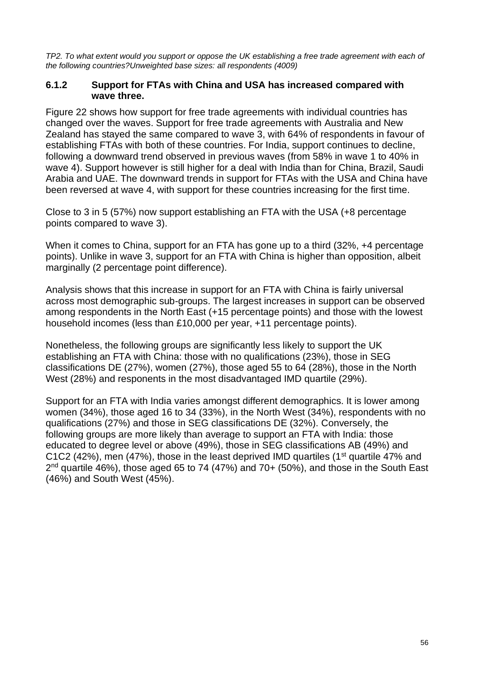*TP2. To what extent would you support or oppose the UK establishing a free trade agreement with each of the following countries?Unweighted base sizes: all respondents (4009)*

#### **6.1.2 Support for FTAs with China and USA has increased compared with wave three.**

Figure 22 shows how support for free trade agreements with individual countries has changed over the waves. Support for free trade agreements with Australia and New Zealand has stayed the same compared to wave 3, with 64% of respondents in favour of establishing FTAs with both of these countries. For India, support continues to decline, following a downward trend observed in previous waves (from 58% in wave 1 to 40% in wave 4). Support however is still higher for a deal with India than for China, Brazil, Saudi Arabia and UAE. The downward trends in support for FTAs with the USA and China have been reversed at wave 4, with support for these countries increasing for the first time.

Close to 3 in 5 (57%) now support establishing an FTA with the USA (+8 percentage points compared to wave 3).

When it comes to China, support for an FTA has gone up to a third (32%, +4 percentage points). Unlike in wave 3, support for an FTA with China is higher than opposition, albeit marginally (2 percentage point difference).

Analysis shows that this increase in support for an FTA with China is fairly universal across most demographic sub-groups. The largest increases in support can be observed among respondents in the North East (+15 percentage points) and those with the lowest household incomes (less than £10,000 per year, +11 percentage points).

Nonetheless, the following groups are significantly less likely to support the UK establishing an FTA with China: those with no qualifications (23%), those in SEG classifications DE (27%), women (27%), those aged 55 to 64 (28%), those in the North West (28%) and responents in the most disadvantaged IMD quartile (29%).

Support for an FTA with India varies amongst different demographics. It is lower among women (34%), those aged 16 to 34 (33%), in the North West (34%), respondents with no qualifications (27%) and those in SEG classifications DE (32%). Conversely, the following groups are more likely than average to support an FTA with India: those educated to degree level or above (49%), those in SEG classifications AB (49%) and C1C2 (42%), men (47%), those in the least deprived IMD quartiles (1<sup>st</sup> quartile 47% and  $2<sup>nd</sup>$  quartile 46%), those aged 65 to 74 (47%) and 70+ (50%), and those in the South East (46%) and South West (45%).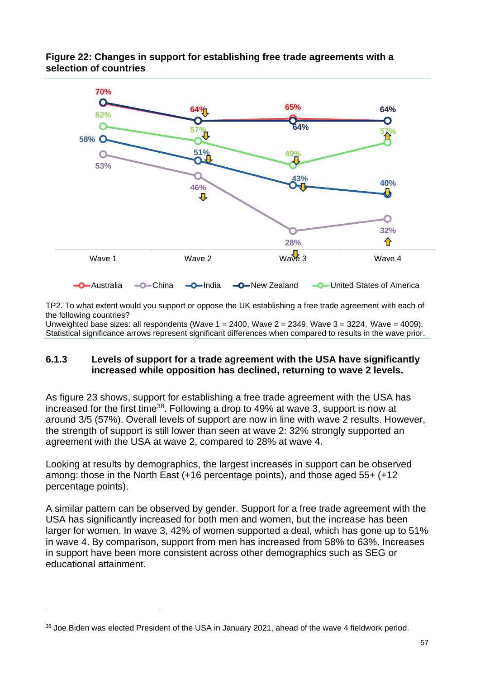

#### **Figure 22: Changes in support for establishing free trade agreements with a selection of countries**

TP2. To what extent would you support or oppose the UK establishing a free trade agreement with each of the following countries?

Unweighted base sizes: all respondents (Wave  $1 = 2400$ , Wave  $2 = 2349$ , Wave  $3 = 3224$ , Wave  $= 4009$ ). Statistical significance arrows represent significant differences when compared to results in the wave prior.

#### **6.1.3 Levels of support for a trade agreement with the USA have significantly increased while opposition has declined, returning to wave 2 levels.**

As figure 23 shows, support for establishing a free trade agreement with the USA has increased for the first time<sup>38</sup>. Following a drop to 49% at wave 3, support is now at around 3/5 (57%). Overall levels of support are now in line with wave 2 results. However, the strength of support is still lower than seen at wave 2: 32% strongly supported an agreement with the USA at wave 2, compared to 28% at wave 4.

Looking at results by demographics, the largest increases in support can be observed among: those in the North East (+16 percentage points), and those aged 55+ (+12 percentage points).

A similar pattern can be observed by gender. Support for a free trade agreement with the USA has significantly increased for both men and women, but the increase has been larger for women. In wave 3, 42% of women supported a deal, which has gone up to 51% in wave 4. By comparison, support from men has increased from 58% to 63%. Increases in support have been more consistent across other demographics such as SEG or educational attainment.

<sup>&</sup>lt;sup>38</sup> Joe Biden was elected President of the USA in January 2021, ahead of the wave 4 fieldwork period.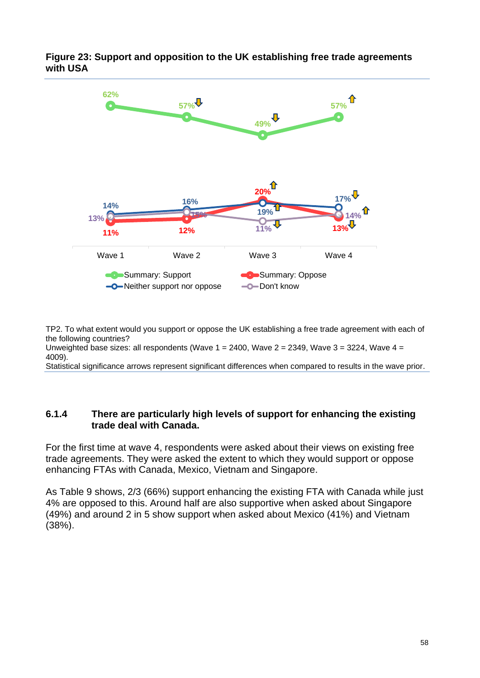

**Figure 23: Support and opposition to the UK establishing free trade agreements with USA**

TP2. To what extent would you support or oppose the UK establishing a free trade agreement with each of the following countries?

Unweighted base sizes: all respondents (Wave  $1 = 2400$ , Wave  $2 = 2349$ , Wave  $3 = 3224$ , Wave  $4 =$ 4009).

Statistical significance arrows represent significant differences when compared to results in the wave prior.

#### **6.1.4 There are particularly high levels of support for enhancing the existing trade deal with Canada.**

For the first time at wave 4, respondents were asked about their views on existing free trade agreements. They were asked the extent to which they would support or oppose enhancing FTAs with Canada, Mexico, Vietnam and Singapore.

As Table 9 shows, 2/3 (66%) support enhancing the existing FTA with Canada while just 4% are opposed to this. Around half are also supportive when asked about Singapore (49%) and around 2 in 5 show support when asked about Mexico (41%) and Vietnam (38%).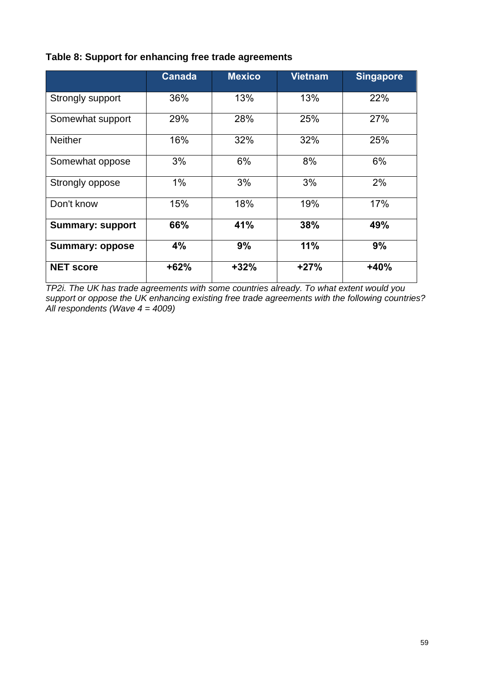|                         | <b>Canada</b> | <b>Mexico</b> | <b>Vietnam</b> | <b>Singapore</b> |
|-------------------------|---------------|---------------|----------------|------------------|
| Strongly support        | 36%           | 13%           | 13%            | 22%              |
| Somewhat support        | 29%           | 28%           | 25%            | 27%              |
| <b>Neither</b>          | 16%           | 32%           | 32%            | 25%              |
| Somewhat oppose         | 3%            | 6%            | 8%             | 6%               |
| Strongly oppose         | 1%            | 3%            | 3%             | 2%               |
| Don't know              | 15%           | 18%           | 19%            | 17%              |
| <b>Summary: support</b> | 66%           | 41%           | 38%            | 49%              |
| <b>Summary: oppose</b>  | 4%            | 9%            | 11%            | 9%               |
| <b>NET score</b>        | $+62%$        | $+32%$        | $+27%$         | $+40%$           |

#### **Table 8: Support for enhancing free trade agreements**

*TP2i. The UK has trade agreements with some countries already. To what extent would you support or oppose the UK enhancing existing free trade agreements with the following countries? All respondents (Wave 4 = 4009)*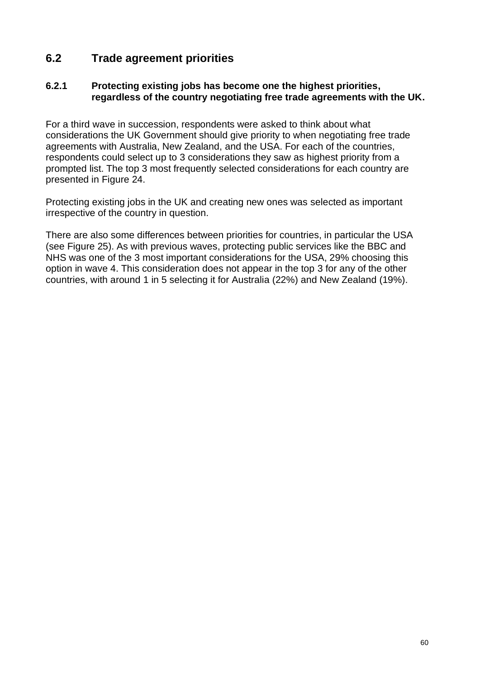## **6.2 Trade agreement priorities**

#### **6.2.1 Protecting existing jobs has become one the highest priorities, regardless of the country negotiating free trade agreements with the UK.**

For a third wave in succession, respondents were asked to think about what considerations the UK Government should give priority to when negotiating free trade agreements with Australia, New Zealand, and the USA. For each of the countries, respondents could select up to 3 considerations they saw as highest priority from a prompted list. The top 3 most frequently selected considerations for each country are presented in [Figure 24.](#page-60-0)

Protecting existing jobs in the UK and creating new ones was selected as important irrespective of the country in question.

There are also some differences between priorities for countries, in particular the USA (see [Figure 25\)](#page-61-0). As with previous waves, protecting public services like the BBC and NHS was one of the 3 most important considerations for the USA, 29% choosing this option in wave 4. This consideration does not appear in the top 3 for any of the other countries, with around 1 in 5 selecting it for Australia (22%) and New Zealand (19%).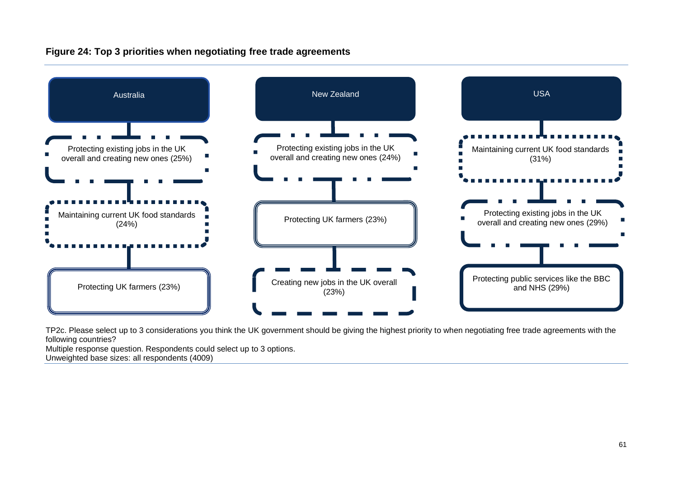

#### **Figure 24: Top 3 priorities when negotiating free trade agreements**

<span id="page-60-0"></span>TP2c. Please select up to 3 considerations you think the UK government should be giving the highest priority to when negotiating free trade agreements with the following countries?

Multiple response question. Respondents could select up to 3 options. Unweighted base sizes: all respondents (4009)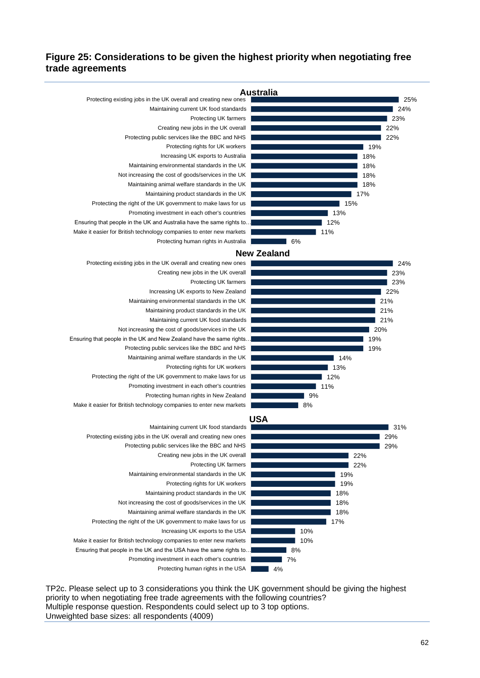#### <span id="page-61-0"></span>**Figure 25: Considerations to be given the highest priority when negotiating free trade agreements**



TP2c. Please select up to 3 considerations you think the UK government should be giving the highest priority to when negotiating free trade agreements with the following countries? Multiple response question. Respondents could select up to 3 top options. Unweighted base sizes: all respondents (4009)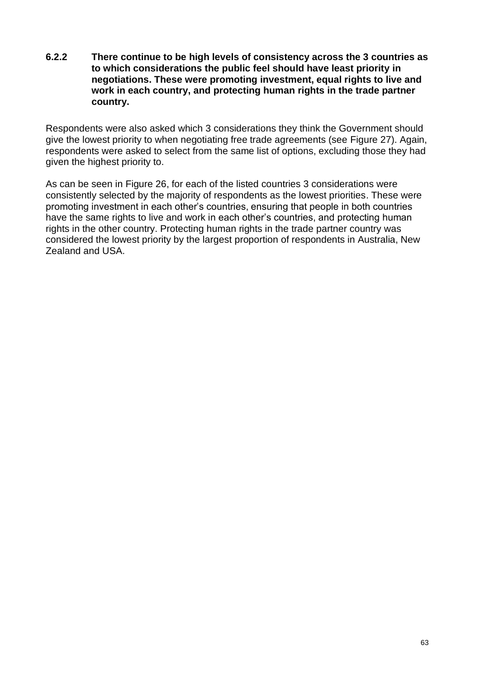**6.2.2 There continue to be high levels of consistency across the 3 countries as to which considerations the public feel should have least priority in negotiations. These were promoting investment, equal rights to live and work in each country, and protecting human rights in the trade partner country.**

Respondents were also asked which 3 considerations they think the Government should give the lowest priority to when negotiating free trade agreements (see [Figure 27\)](#page-64-0). Again, respondents were asked to select from the same list of options, excluding those they had given the highest priority to.

As can be seen in [Figure 26,](#page-63-0) for each of the listed countries 3 considerations were consistently selected by the majority of respondents as the lowest priorities. These were promoting investment in each other's countries, ensuring that people in both countries have the same rights to live and work in each other's countries, and protecting human rights in the other country. Protecting human rights in the trade partner country was considered the lowest priority by the largest proportion of respondents in Australia, New Zealand and USA.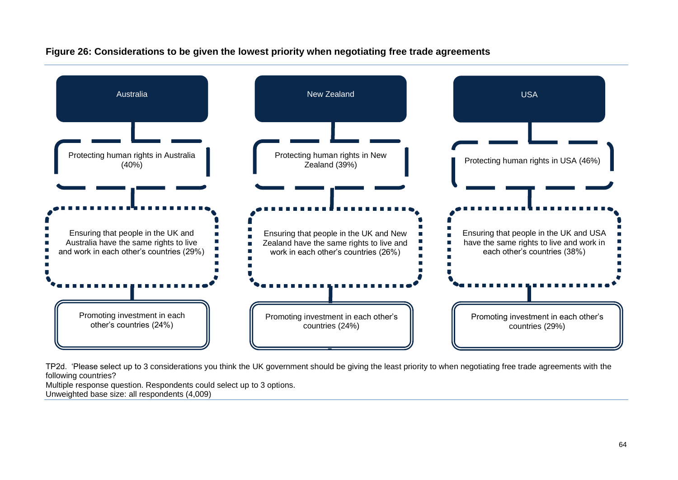

**Figure 26: Considerations to be given the lowest priority when negotiating free trade agreements**

<span id="page-63-0"></span>TP2d. 'Please select up to 3 considerations you think the UK government should be giving the least priority to when negotiating free trade agreements with the following countries?

Multiple response question. Respondents could select up to 3 options. Unweighted base size: all respondents (4,009)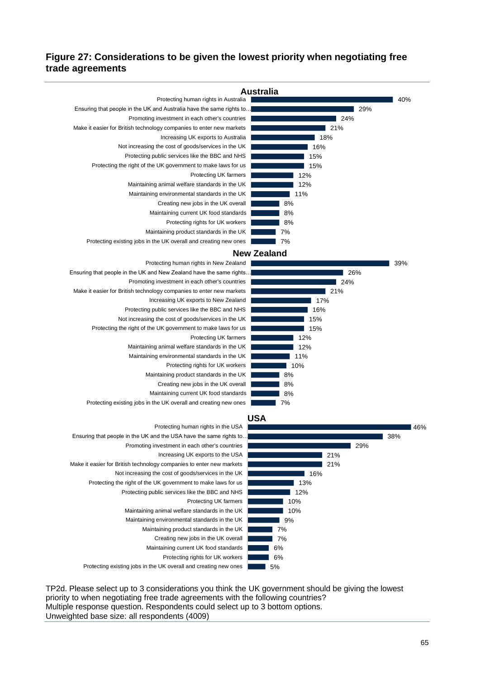#### <span id="page-64-0"></span>**Figure 27: Considerations to be given the lowest priority when negotiating free trade agreements**



TP2d. Please select up to 3 considerations you think the UK government should be giving the lowest priority to when negotiating free trade agreements with the following countries? Multiple response question. Respondents could select up to 3 bottom options. Unweighted base size: all respondents (4009)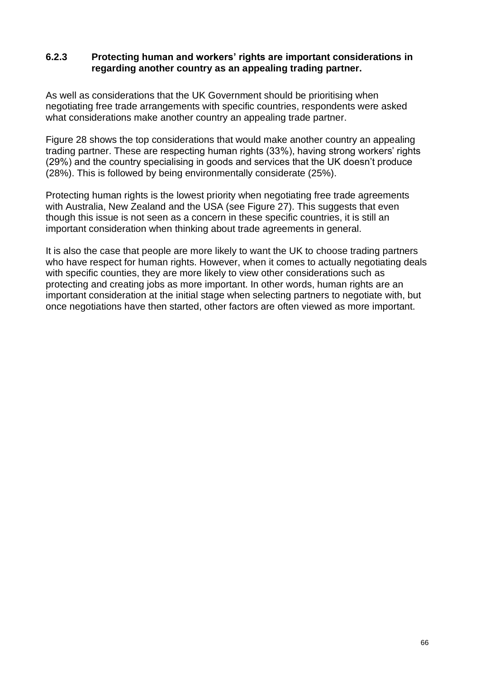#### **6.2.3 Protecting human and workers' rights are important considerations in regarding another country as an appealing trading partner.**

As well as considerations that the UK Government should be prioritising when negotiating free trade arrangements with specific countries, respondents were asked what considerations make another country an appealing trade partner.

Figure 28 shows the top considerations that would make another country an appealing trading partner. These are respecting human rights (33%), having strong workers' rights (29%) and the country specialising in goods and services that the UK doesn't produce (28%). This is followed by being environmentally considerate (25%).

Protecting human rights is the lowest priority when negotiating free trade agreements with Australia, New Zealand and the USA (see [Figure 27\)](#page-64-0). This suggests that even though this issue is not seen as a concern in these specific countries, it is still an important consideration when thinking about trade agreements in general.

It is also the case that people are more likely to want the UK to choose trading partners who have respect for human rights. However, when it comes to actually negotiating deals with specific counties, they are more likely to view other considerations such as protecting and creating jobs as more important. In other words, human rights are an important consideration at the initial stage when selecting partners to negotiate with, but once negotiations have then started, other factors are often viewed as more important.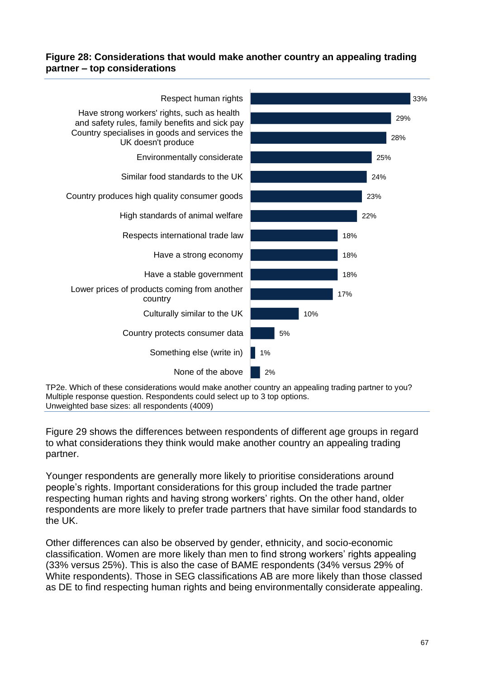#### **Figure 28: Considerations that would make another country an appealing trading partner – top considerations**



TP2e. Which of these considerations would make another country an appealing trading partner to you? Multiple response question. Respondents could select up to 3 top options. Unweighted base sizes: all respondents (4009)

[Figure 29](#page-67-0) shows the differences between respondents of different age groups in regard to what considerations they think would make another country an appealing trading partner.

Younger respondents are generally more likely to prioritise considerations around people's rights. Important considerations for this group included the trade partner respecting human rights and having strong workers' rights. On the other hand, older respondents are more likely to prefer trade partners that have similar food standards to the UK.

Other differences can also be observed by gender, ethnicity, and socio-economic classification. Women are more likely than men to find strong workers' rights appealing (33% versus 25%). This is also the case of BAME respondents (34% versus 29% of White respondents). Those in SEG classifications AB are more likely than those classed as DE to find respecting human rights and being environmentally considerate appealing.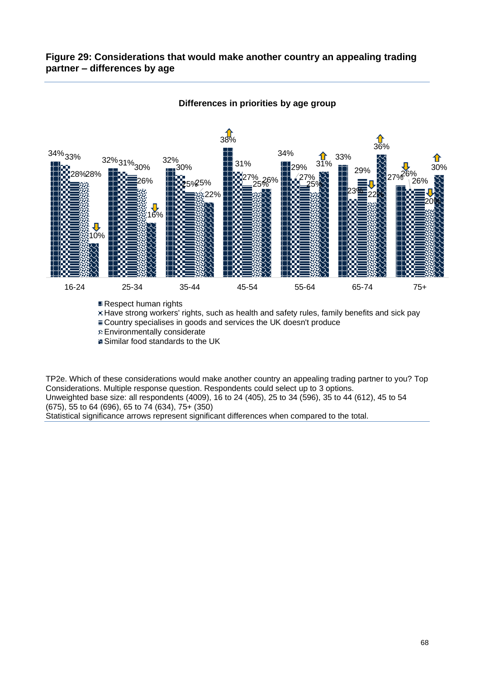#### <span id="page-67-0"></span>**Figure 29: Considerations that would make another country an appealing trading partner – differences by age**



#### **Differences in priorities by age group**

■ Respect human rights

Have strong workers' rights, such as health and safety rules, family benefits and sick pay  $\equiv$  Country specialises in goods and services the UK doesn't produce

Environmentally considerate

**Similar food standards to the UK** 

TP2e. Which of these considerations would make another country an appealing trading partner to you? Top Considerations. Multiple response question. Respondents could select up to 3 options. Unweighted base size: all respondents (4009), 16 to 24 (405), 25 to 34 (596), 35 to 44 (612), 45 to 54 (675), 55 to 64 (696), 65 to 74 (634), 75+ (350)

Statistical significance arrows represent significant differences when compared to the total.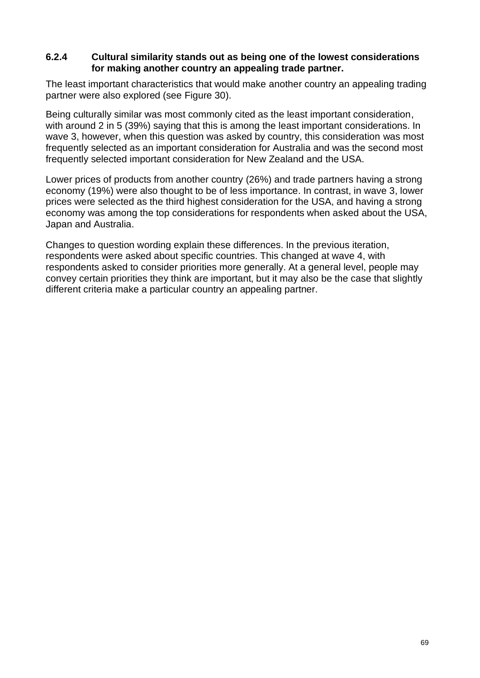#### **6.2.4 Cultural similarity stands out as being one of the lowest considerations for making another country an appealing trade partner.**

The least important characteristics that would make another country an appealing trading partner were also explored (see Figure 30).

Being culturally similar was most commonly cited as the least important consideration, with around 2 in 5 (39%) saying that this is among the least important considerations. In wave 3, however, when this question was asked by country, this consideration was most frequently selected as an important consideration for Australia and was the second most frequently selected important consideration for New Zealand and the USA.

Lower prices of products from another country (26%) and trade partners having a strong economy (19%) were also thought to be of less importance. In contrast, in wave 3, lower prices were selected as the third highest consideration for the USA, and having a strong economy was among the top considerations for respondents when asked about the USA, Japan and Australia.

Changes to question wording explain these differences. In the previous iteration, respondents were asked about specific countries. This changed at wave 4, with respondents asked to consider priorities more generally. At a general level, people may convey certain priorities they think are important, but it may also be the case that slightly different criteria make a particular country an appealing partner.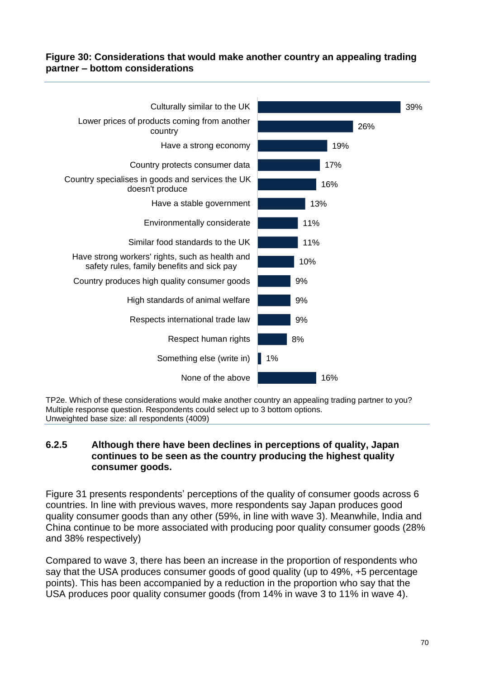#### **Figure 30: Considerations that would make another country an appealing trading partner – bottom considerations**



TP2e. Which of these considerations would make another country an appealing trading partner to you? Multiple response question. Respondents could select up to 3 bottom options. Unweighted base size: all respondents (4009)

#### **6.2.5 Although there have been declines in perceptions of quality, Japan continues to be seen as the country producing the highest quality consumer goods.**

[Figure 31](#page-70-0) presents respondents' perceptions of the quality of consumer goods across 6 countries. In line with previous waves, more respondents say Japan produces good quality consumer goods than any other (59%, in line with wave 3). Meanwhile, India and China continue to be more associated with producing poor quality consumer goods (28% and 38% respectively)

Compared to wave 3, there has been an increase in the proportion of respondents who say that the USA produces consumer goods of good quality (up to 49%, +5 percentage points). This has been accompanied by a reduction in the proportion who say that the USA produces poor quality consumer goods (from 14% in wave 3 to 11% in wave 4).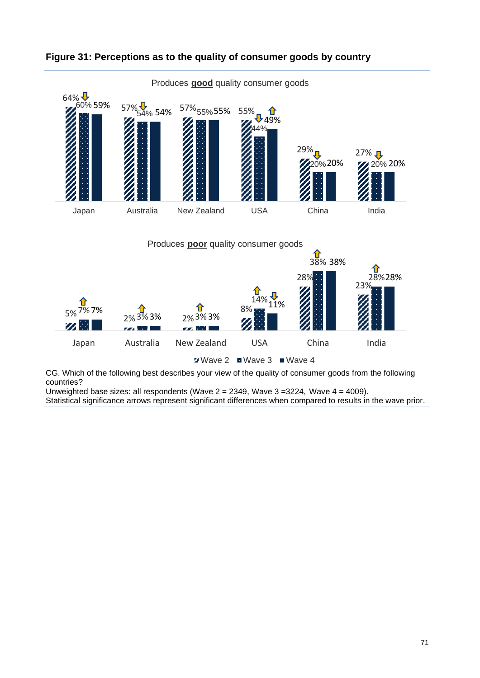

## <span id="page-70-0"></span>**Figure 31: Perceptions as to the quality of consumer goods by country**

CG. Which of the following best describes your view of the quality of consumer goods from the following countries?

Unweighted base sizes: all respondents (Wave  $2 = 2349$ , Wave  $3 = 3224$ , Wave  $4 = 4009$ ). Statistical significance arrows represent significant differences when compared to results in the wave prior.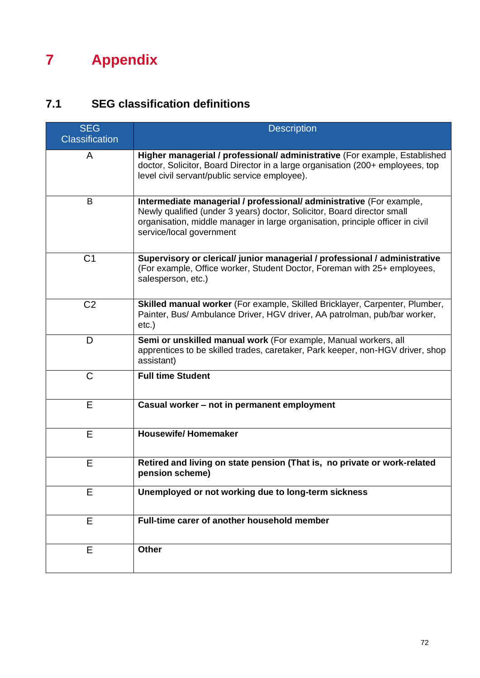# **7 Appendix**

## **7.1 SEG classification definitions**

| <b>SEG</b>            | <b>Description</b>                                                                                                                                                                                                                                            |
|-----------------------|---------------------------------------------------------------------------------------------------------------------------------------------------------------------------------------------------------------------------------------------------------------|
| <b>Classification</b> |                                                                                                                                                                                                                                                               |
| A                     | Higher managerial / professional/ administrative (For example, Established<br>doctor, Solicitor, Board Director in a large organisation (200+ employees, top<br>level civil servant/public service employee).                                                 |
| B                     | Intermediate managerial / professional/ administrative (For example,<br>Newly qualified (under 3 years) doctor, Solicitor, Board director small<br>organisation, middle manager in large organisation, principle officer in civil<br>service/local government |
| C <sub>1</sub>        | Supervisory or clerical/ junior managerial / professional / administrative<br>(For example, Office worker, Student Doctor, Foreman with 25+ employees,<br>salesperson, etc.)                                                                                  |
| C <sub>2</sub>        | Skilled manual worker (For example, Skilled Bricklayer, Carpenter, Plumber,<br>Painter, Bus/ Ambulance Driver, HGV driver, AA patrolman, pub/bar worker,<br>$etc.$ )                                                                                          |
| D                     | Semi or unskilled manual work (For example, Manual workers, all<br>apprentices to be skilled trades, caretaker, Park keeper, non-HGV driver, shop<br>assistant)                                                                                               |
| $\mathsf{C}$          | <b>Full time Student</b>                                                                                                                                                                                                                                      |
| E                     | Casual worker - not in permanent employment                                                                                                                                                                                                                   |
| E                     | <b>Housewife/Homemaker</b>                                                                                                                                                                                                                                    |
| Е                     | Retired and living on state pension (That is, no private or work-related<br>pension scheme)                                                                                                                                                                   |
| E                     | Unemployed or not working due to long-term sickness                                                                                                                                                                                                           |
| E                     | Full-time carer of another household member                                                                                                                                                                                                                   |
| E                     | <b>Other</b>                                                                                                                                                                                                                                                  |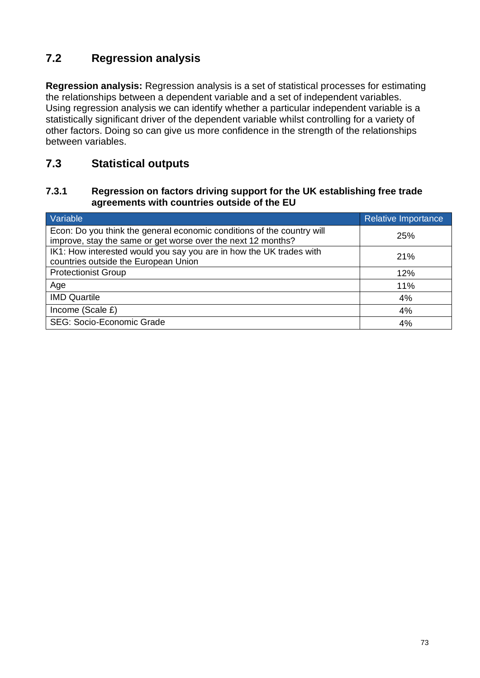# **7.2 Regression analysis**

**Regression analysis:** Regression analysis is a set of statistical processes for estimating the relationships between a dependent variable and a set of independent variables. Using regression analysis we can identify whether a particular independent variable is a statistically significant driver of the dependent variable whilst controlling for a variety of other factors. Doing so can give us more confidence in the strength of the relationships between variables.

## **7.3 Statistical outputs**

#### **7.3.1 Regression on factors driving support for the UK establishing free trade agreements with countries outside of the EU**

| Variable                                                                                                                               | Relative Importance |
|----------------------------------------------------------------------------------------------------------------------------------------|---------------------|
| Econ: Do you think the general economic conditions of the country will<br>improve, stay the same or get worse over the next 12 months? | 25%                 |
| IK1: How interested would you say you are in how the UK trades with<br>countries outside the European Union                            | 21%                 |
| <b>Protectionist Group</b>                                                                                                             | 12%                 |
| Age                                                                                                                                    | 11%                 |
| <b>IMD Quartile</b>                                                                                                                    | 4%                  |
| Income (Scale £)                                                                                                                       | 4%                  |
| <b>SEG: Socio-Economic Grade</b>                                                                                                       | 4%                  |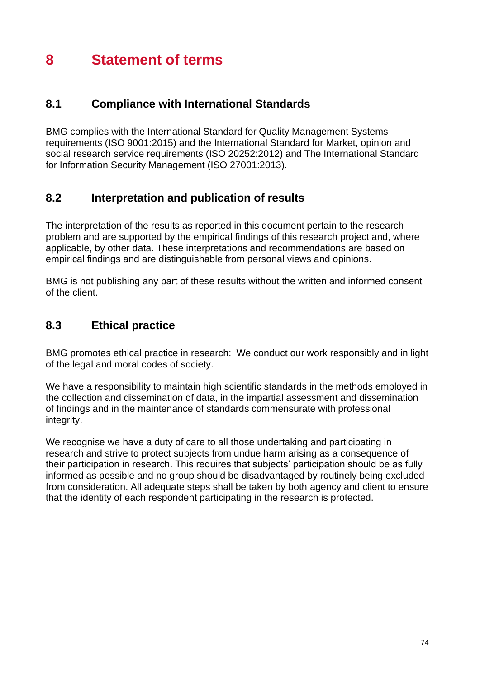# **8 Statement of terms**

### **8.1 Compliance with International Standards**

BMG complies with the International Standard for Quality Management Systems requirements (ISO 9001:2015) and the International Standard for Market, opinion and social research service requirements (ISO 20252:2012) and The International Standard for Information Security Management (ISO 27001:2013).

### **8.2 Interpretation and publication of results**

The interpretation of the results as reported in this document pertain to the research problem and are supported by the empirical findings of this research project and, where applicable, by other data. These interpretations and recommendations are based on empirical findings and are distinguishable from personal views and opinions.

BMG is not publishing any part of these results without the written and informed consent of the client.

## **8.3 Ethical practice**

BMG promotes ethical practice in research: We conduct our work responsibly and in light of the legal and moral codes of society.

We have a responsibility to maintain high scientific standards in the methods employed in the collection and dissemination of data, in the impartial assessment and dissemination of findings and in the maintenance of standards commensurate with professional integrity.

We recognise we have a duty of care to all those undertaking and participating in research and strive to protect subjects from undue harm arising as a consequence of their participation in research. This requires that subjects' participation should be as fully informed as possible and no group should be disadvantaged by routinely being excluded from consideration. All adequate steps shall be taken by both agency and client to ensure that the identity of each respondent participating in the research is protected.